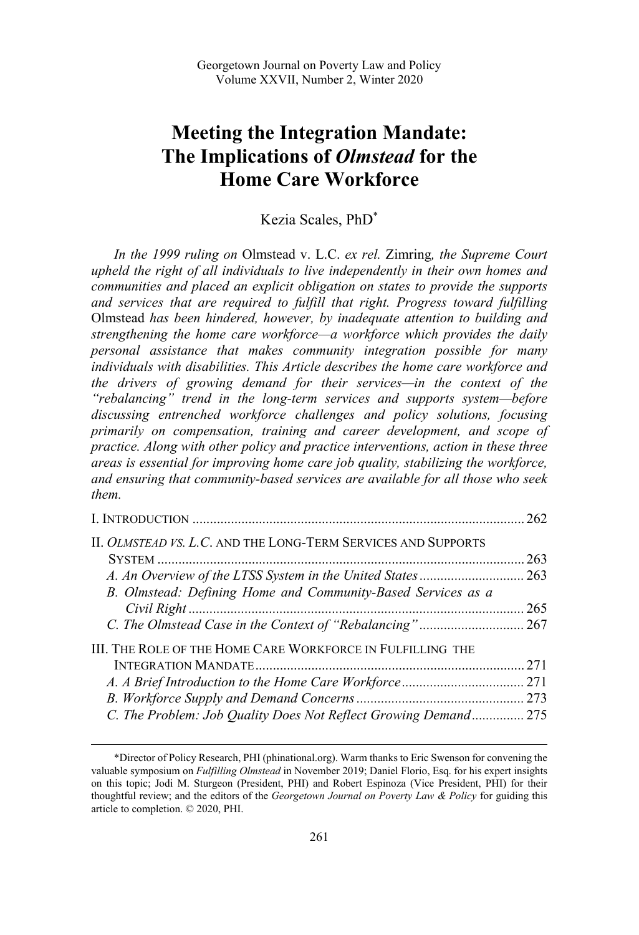# **Meeting the Integration Mandate: The Implications of** *Olmstead* **for the Home Care Workforce**

## Kezia Scales, PhD\*

*In the 1999 ruling on* Olmstead v. L.C. *ex rel.* Zimring*, the Supreme Court upheld the right of all individuals to live independently in their own homes and communities and placed an explicit obligation on states to provide the supports and services that are required to fulfill that right. Progress toward fulfilling*  Olmstead *has been hindered, however, by inadequate attention to building and strengthening the home care workforce—a workforce which provides the daily personal assistance that makes community integration possible for many individuals with disabilities. This Article describes the home care workforce and the drivers of growing demand for their services—in the context of the "rebalancing" trend in the long-term services and supports system—before discussing entrenched workforce challenges and policy solutions, focusing primarily on compensation, training and career development, and scope of practice. Along with other policy and practice interventions, action in these three areas is essential for improving home care job quality, stabilizing the workforce, and ensuring that community-based services are available for all those who seek them.* 

|                                                                      | 262 |
|----------------------------------------------------------------------|-----|
| II. <i>OLMSTEAD VS. L.C.</i> AND THE LONG-TERM SERVICES AND SUPPORTS |     |
|                                                                      | 263 |
|                                                                      |     |
| B. Olmstead: Defining Home and Community-Based Services as a         |     |
|                                                                      | 265 |
|                                                                      |     |
| III. THE ROLE OF THE HOME CARE WORKFORCE IN FULFILLING THE           |     |
|                                                                      | 271 |
|                                                                      |     |
|                                                                      |     |
| C. The Problem: Job Quality Does Not Reflect Growing Demand 275      |     |

<sup>\*</sup>Director of Policy Research, PHI (phinational.org). Warm thanks to Eric Swenson for convening the valuable symposium on *Fulfilling Olmstead* in November 2019; Daniel Florio, Esq. for his expert insights on this topic; Jodi M. Sturgeon (President, PHI) and Robert Espinoza (Vice President, PHI) for their thoughtful review; and the editors of the *Georgetown Journal on Poverty Law & Policy* for guiding this article to completion. © 2020, PHI.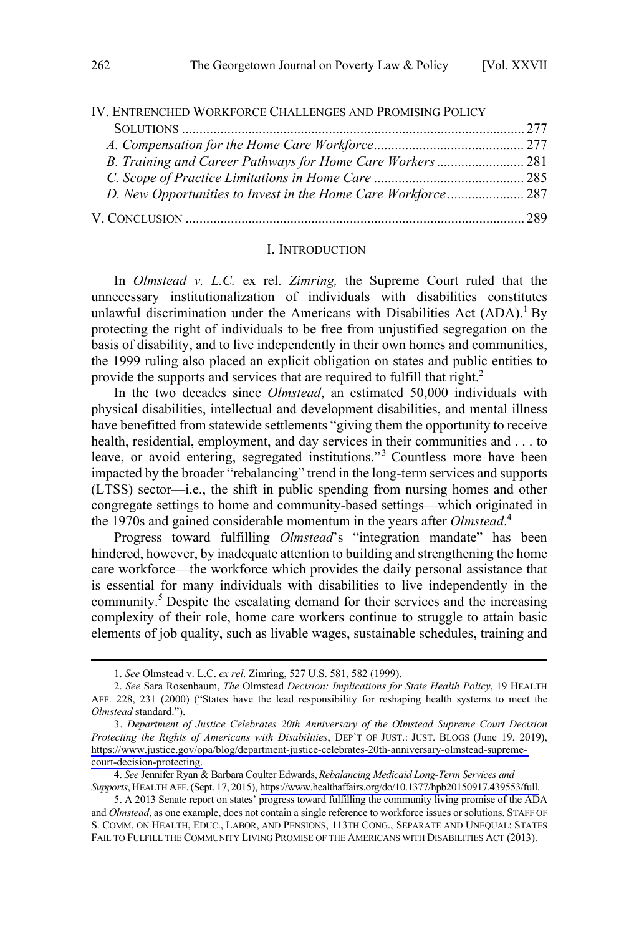<span id="page-1-0"></span>

| IV. ENTRENCHED WORKFORCE CHALLENGES AND PROMISING POLICY |  |
|----------------------------------------------------------|--|
|                                                          |  |
|                                                          |  |
|                                                          |  |
|                                                          |  |
|                                                          |  |
|                                                          |  |

#### I. INTRODUCTION

In *Olmstead v. L.C.* ex rel. *Zimring,* the Supreme Court ruled that the unnecessary institutionalization of individuals with disabilities constitutes unlawful discrimination under the Americans with Disabilities Act  $(ADA)$ .<sup>1</sup> By protecting the right of individuals to be free from unjustified segregation on the basis of disability, and to live independently in their own homes and communities, the 1999 ruling also placed an explicit obligation on states and public entities to provide the supports and services that are required to fulfill that right.<sup>2</sup>

In the two decades since *Olmstead*, an estimated 50,000 individuals with physical disabilities, intellectual and development disabilities, and mental illness have benefitted from statewide settlements "giving them the opportunity to receive health, residential, employment, and day services in their communities and . . . to leave, or avoid entering, segregated institutions."<sup>3</sup> Countless more have been impacted by the broader "rebalancing" trend in the long-term services and supports (LTSS) sector—i.e., the shift in public spending from nursing homes and other congregate settings to home and community-based settings—which originated in the 1970s and gained considerable momentum in the years after *Olmstead*. 4

Progress toward fulfilling *Olmstead*'s "integration mandate" has been hindered, however, by inadequate attention to building and strengthening the home care workforce—the workforce which provides the daily personal assistance that is essential for many individuals with disabilities to live independently in the community.<sup>5</sup> Despite the escalating demand for their services and the increasing complexity of their role, home care workers continue to struggle to attain basic elements of job quality, such as livable wages, sustainable schedules, training and

*See* Jennifer Ryan & Barbara Coulter Edwards, *Rebalancing Medicaid Long-Term Services and*  4. *Supports*, HEALTH AFF.(Sept. 17, 2015), [https://www.healthaffairs.org/do/10.1377/hpb20150917.439553/full.](https://www.healthaffairs.org/do/10.1377/hpb20150917.439553/full)

<sup>1.</sup> *See* Olmstead v. L.C. *ex rel*. Zimring, 527 U.S. 581, 582 (1999).

<sup>2.</sup> *See* Sara Rosenbaum, *The* Olmstead *Decision: Implications for State Health Policy*, 19 HEALTH AFF. 228, 231 (2000) ("States have the lead responsibility for reshaping health systems to meet the *Olmstead* standard.").

*Department of Justice Celebrates 20th Anniversary of the Olmstead Supreme Court Decision*  3. *Protecting the Rights of Americans with Disabilities*, DEP'T OF JUST.: JUST. BLOGS (June 19, 2019), [https://www.justice.gov/opa/blog/department-justice-celebrates-20th-anniversary-olmstead-supreme](https://www.justice.gov/opa/blog/department-justice-celebrates-20th-anniversary-olmstead-supreme-court-decision-protecting)[court-decision-protecting.](https://www.justice.gov/opa/blog/department-justice-celebrates-20th-anniversary-olmstead-supreme-court-decision-protecting)

<sup>5.</sup> A 2013 Senate report on states' progress toward fulfilling the community living promise of the ADA and *Olmstead*, as one example, does not contain a single reference to workforce issues or solutions. STAFF OF S. COMM. ON HEALTH, EDUC., LABOR, AND PENSIONS, 113TH CONG., SEPARATE AND UNEQUAL: STATES FAIL TO FULFILL THE COMMUNITY LIVING PROMISE OF THE AMERICANS WITH DISABILITIES ACT (2013).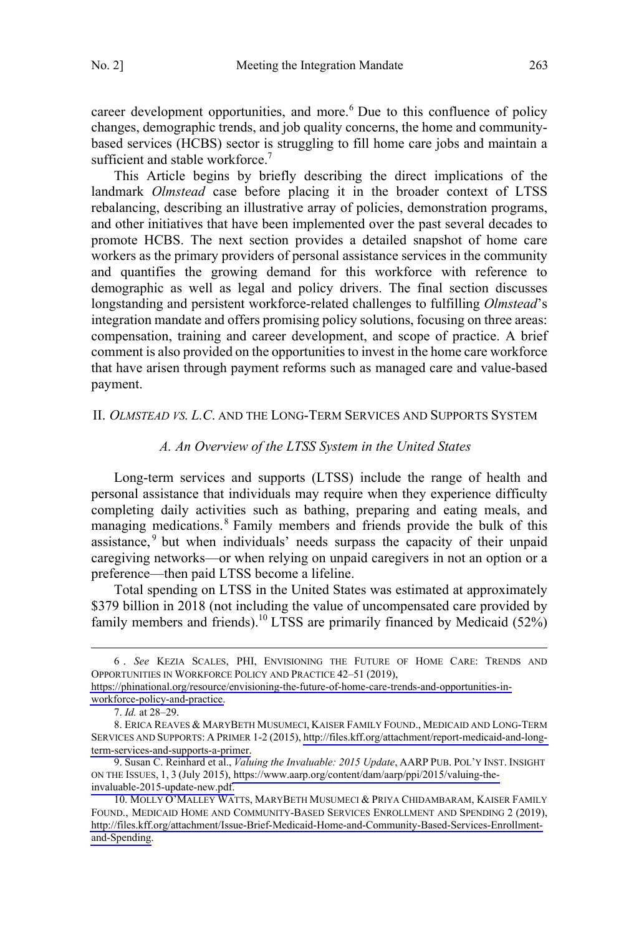<span id="page-2-0"></span>career development opportunities, and more.<sup>6</sup> Due to this confluence of policy changes, demographic trends, and job quality concerns, the home and communitybased services (HCBS) sector is struggling to fill home care jobs and maintain a sufficient and stable workforce.<sup>7</sup>

This Article begins by briefly describing the direct implications of the landmark *Olmstead* case before placing it in the broader context of LTSS rebalancing, describing an illustrative array of policies, demonstration programs, and other initiatives that have been implemented over the past several decades to promote HCBS. The next section provides a detailed snapshot of home care workers as the primary providers of personal assistance services in the community and quantifies the growing demand for this workforce with reference to demographic as well as legal and policy drivers. The final section discusses longstanding and persistent workforce-related challenges to fulfilling *Olmstead*'s integration mandate and offers promising policy solutions, focusing on three areas: compensation, training and career development, and scope of practice. A brief comment is also provided on the opportunities to invest in the home care workforce that have arisen through payment reforms such as managed care and value-based payment.

#### II. *OLMSTEAD VS. L.C*. AND THE LONG-TERM SERVICES AND SUPPORTS SYSTEM

#### *A. An Overview of the LTSS System in the United States*

Long-term services and supports (LTSS) include the range of health and personal assistance that individuals may require when they experience difficulty completing daily activities such as bathing, preparing and eating meals, and managing medications.<sup>8</sup> Family members and friends provide the bulk of this assistance,<sup>9</sup> but when individuals' needs surpass the capacity of their unpaid caregiving networks—or when relying on unpaid caregivers in not an option or a preference—then paid LTSS become a lifeline.

Total spending on LTSS in the United States was estimated at approximately \$379 billion in 2018 (not including the value of uncompensated care provided by family members and friends).<sup>10</sup> LTSS are primarily financed by Medicaid  $(52\%)$ 

*See* KEZIA SCALES, PHI, ENVISIONING THE FUTURE OF HOME CARE: TRENDS AND 6 . OPPORTUNITIES IN WORKFORCE POLICY AND PRACTICE 42–51 (2019),

[https://phinational.org/resource/envisioning-the-future-of-home-care-trends-and-opportunities-in](https://phinational.org/resource/envisioning-the-future-of-home-care-trends-and-opportunities-in-workforce-policy-and-practice)[workforce-policy-and-practice.](https://phinational.org/resource/envisioning-the-future-of-home-care-trends-and-opportunities-in-workforce-policy-and-practice)

<sup>7.</sup> *Id.* at 28–29.

ERICA REAVES & MARYBETH MUSUMECI, KAISER FAMILY FOUND., MEDICAID AND LONG-TERM 8. SERVICES AND SUPPORTS: A PRIMER 1-2 (2015), [http://files.kff.org/attachment/report-medicaid-and-long](http://files.kff.org/attachment/report-medicaid-and-long-term-services-and-supports-a-primer)[term-services-and-supports-a-primer.](http://files.kff.org/attachment/report-medicaid-and-long-term-services-and-supports-a-primer)

<sup>9.</sup> Susan C. Reinhard et al., *Valuing the Invaluable: 2015 Update*, AARP PUB. POL'Y INST. INSIGHT ON THE ISSUES, 1, 3 (July 2015), [https://www.aarp.org/content/dam/aarp/ppi/2015/valuing-the](https://www.aarp.org/content/dam/aarp/ppi/2015/valuing-the-invaluable-2015-update-new.pdf)[invaluable-2015-update-new.pdf.](https://www.aarp.org/content/dam/aarp/ppi/2015/valuing-the-invaluable-2015-update-new.pdf)

<sup>10.</sup> MOLLY O'MALLEY WATTS, MARYBETH MUSUMECI & PRIYA CHIDAMBARAM, KAISER FAMILY FOUND., MEDICAID HOME AND COMMUNITY-BASED SERVICES ENROLLMENT AND SPENDING 2 (2019), [http://files.kff.org/attachment/Issue-Brief-Medicaid-Home-and-Community-Based-Services-Enrollment](http://files.kff.org/attachment/Issue-Brief-Medicaid-Home-and-Community-Based-Services-Enrollment-and-Spending)[and-Spending.](http://files.kff.org/attachment/Issue-Brief-Medicaid-Home-and-Community-Based-Services-Enrollment-and-Spending)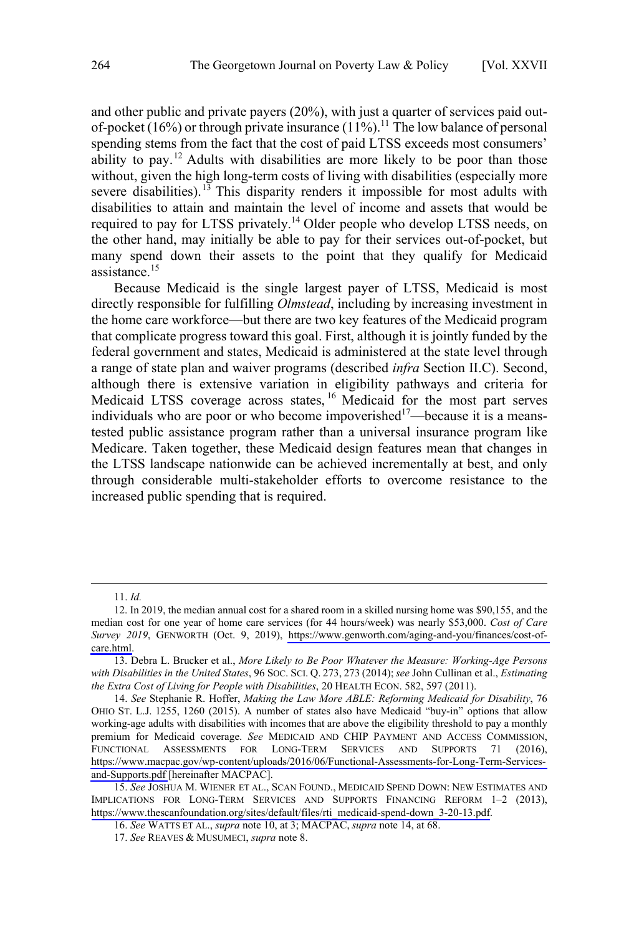and other public and private payers (20%), with just a quarter of services paid outof-pocket (16%) or through private insurance (11%).<sup>11</sup> The low balance of personal spending stems from the fact that the cost of paid LTSS exceeds most consumers' ability to pay.<sup>12</sup> Adults with disabilities are more likely to be poor than those without, given the high long-term costs of living with disabilities (especially more severe disabilities).<sup>13</sup> This disparity renders it impossible for most adults with disabilities to attain and maintain the level of income and assets that would be required to pay for LTSS privately.<sup>14</sup> Older people who develop LTSS needs, on the other hand, may initially be able to pay for their services out-of-pocket, but many spend down their assets to the point that they qualify for Medicaid assistance.<sup>15</sup>

Because Medicaid is the single largest payer of LTSS, Medicaid is most directly responsible for fulfilling *Olmstead*, including by increasing investment in the home care workforce—but there are two key features of the Medicaid program that complicate progress toward this goal. First, although it is jointly funded by the federal government and states, Medicaid is administered at the state level through a range of state plan and waiver programs (described *infra* Section II.C). Second, although there is extensive variation in eligibility pathways and criteria for Medicaid LTSS coverage across states, <sup>16</sup> Medicaid for the most part serves individuals who are poor or who become impoverished<sup>17</sup>—because it is a meanstested public assistance program rather than a universal insurance program like Medicare. Taken together, these Medicaid design features mean that changes in the LTSS landscape nationwide can be achieved incrementally at best, and only through considerable multi-stakeholder efforts to overcome resistance to the increased public spending that is required.

<sup>11.</sup> *Id.*

<sup>12.</sup> In 2019, the median annual cost for a shared room in a skilled nursing home was \$90,155, and the median cost for one year of home care services (for 44 hours/week) was nearly \$53,000. *Cost of Care Survey 2019*, GENWORTH (Oct. 9, 2019), [https://www.genworth.com/aging-and-you/finances/cost-of](https://www.genworth.com/aging-and-you/finances/cost-of-care.html)[care.html.](https://www.genworth.com/aging-and-you/finances/cost-of-care.html)

<sup>13.</sup> Debra L. Brucker et al., *More Likely to Be Poor Whatever the Measure: Working‐Age Persons with Disabilities in the United States*, 96 SOC. SCI. Q. 273, 273 (2014);*see* John Cullinan et al., *Estimating the Extra Cost of Living for People with Disabilities*, 20 HEALTH ECON. 582, 597 (2011).

*See* Stephanie R. Hoffer, *Making the Law More ABLE: Reforming Medicaid for Disability*, 76 14. OHIO ST. L.J. 1255, 1260 (2015). A number of states also have Medicaid "buy-in" options that allow working-age adults with disabilities with incomes that are above the eligibility threshold to pay a monthly premium for Medicaid coverage. *See* MEDICAID AND CHIP PAYMENT AND ACCESS COMMISSION, FUNCTIONAL ASSESSMENTS FOR LONG-TERM SERVICES AND SUPPORTS 71 (2016), [https://www.macpac.gov/wp-content/uploads/2016/06/Functional-Assessments-for-Long-Term-Services](https://www.macpac.gov/wp-content/uploads/2016/06/Functional-Assessments-for-Long-Term-Services-and-Supports.pdf)[and-Supports.pdf](https://www.macpac.gov/wp-content/uploads/2016/06/Functional-Assessments-for-Long-Term-Services-and-Supports.pdf) [hereinafter MACPAC].

<sup>15.</sup> See JOSHUA M. WIENER ET AL., SCAN FOUND., MEDICAID SPEND DOWN: NEW ESTIMATES AND IMPLICATIONS FOR LONG-TERM SERVICES AND SUPPORTS FINANCING REFORM 1–2 (2013), [https://www.thescanfoundation.org/sites/default/files/rti\\_medicaid-spend-down\\_3-20-13.pdf.](https://www.thescanfoundation.org/sites/default/files/rti_medicaid-spend-down_3-20-13.pdf)

<sup>16.</sup> *See* WATTS ET AL., *supra* note 10, at 3; MACPAC, *supra* note 14, at 68.

<sup>17.</sup> *See* REAVES & MUSUMECI, *supra* note 8.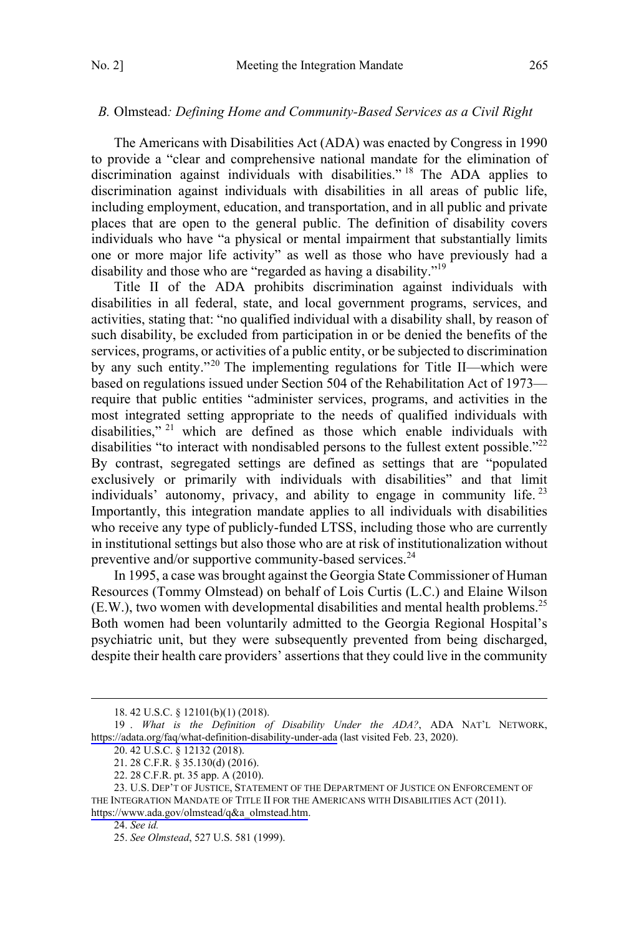#### <span id="page-4-0"></span>*B.* Olmstead*: Defining Home and Community-Based Services as a Civil Right*

The Americans with Disabilities Act (ADA) was enacted by Congress in 1990 to provide a "clear and comprehensive national mandate for the elimination of discrimination against individuals with disabilities."<sup>18</sup> The ADA applies to discrimination against individuals with disabilities in all areas of public life, including employment, education, and transportation, and in all public and private places that are open to the general public. The definition of disability covers individuals who have "a physical or mental impairment that substantially limits one or more major life activity" as well as those who have previously had a disability and those who are "regarded as having a disability."<sup>19</sup>

Title II of the ADA prohibits discrimination against individuals with disabilities in all federal, state, and local government programs, services, and activities, stating that: "no qualified individual with a disability shall, by reason of such disability, be excluded from participation in or be denied the benefits of the services, programs, or activities of a public entity, or be subjected to discrimination by any such entity."<sup>20</sup> The implementing regulations for Title II—which were based on regulations issued under Section 504 of the Rehabilitation Act of 1973 require that public entities "administer services, programs, and activities in the most integrated setting appropriate to the needs of qualified individuals with disabilities," <sup>21</sup> which are defined as those which enable individuals with disabilities "to interact with nondisabled persons to the fullest extent possible."<sup>22</sup> By contrast, segregated settings are defined as settings that are "populated exclusively or primarily with individuals with disabilities" and that limit individuals' autonomy, privacy, and ability to engage in community life.  $23$ Importantly, this integration mandate applies to all individuals with disabilities who receive any type of publicly-funded LTSS, including those who are currently in institutional settings but also those who are at risk of institutionalization without preventive and/or supportive community-based services. $^{24}$ 

In 1995, a case was brought against the Georgia State Commissioner of Human Resources (Tommy Olmstead) on behalf of Lois Curtis (L.C.) and Elaine Wilson  $(E.W.)$ , two women with developmental disabilities and mental health problems.<sup>25</sup> Both women had been voluntarily admitted to the Georgia Regional Hospital's psychiatric unit, but they were subsequently prevented from being discharged, despite their health care providers' assertions that they could live in the community

 <sup>18. 42</sup> U.S.C. § 12101(b)(1) (2018).

*What is the Definition of Disability Under the ADA?*, ADA NAT'L NETWORK, 19 . <https://adata.org/faq/what-definition-disability-under-ada> (last visited Feb. 23, 2020).

<sup>20. 42</sup> U.S.C. § 12132 (2018).

<sup>21. 28</sup> C.F.R. § 35.130(d) (2016).

<sup>22. 28</sup> C.F.R. pt. 35 app. A (2010).

<sup>23.</sup> U.S. DEP'T OF JUSTICE, STATEMENT OF THE DEPARTMENT OF JUSTICE ON ENFORCEMENT OF THE INTEGRATION MANDATE OF TITLE II FOR THE AMERICANS WITH DISABILITIES ACT (2011). [https://www.ada.gov/olmstead/q&a\\_olmstead.htm](https://www.ada.gov/olmstead/q&a_olmstead.htm).

<sup>24.</sup> *See id.*

<sup>25.</sup> *See Olmstead*, 527 U.S. 581 (1999).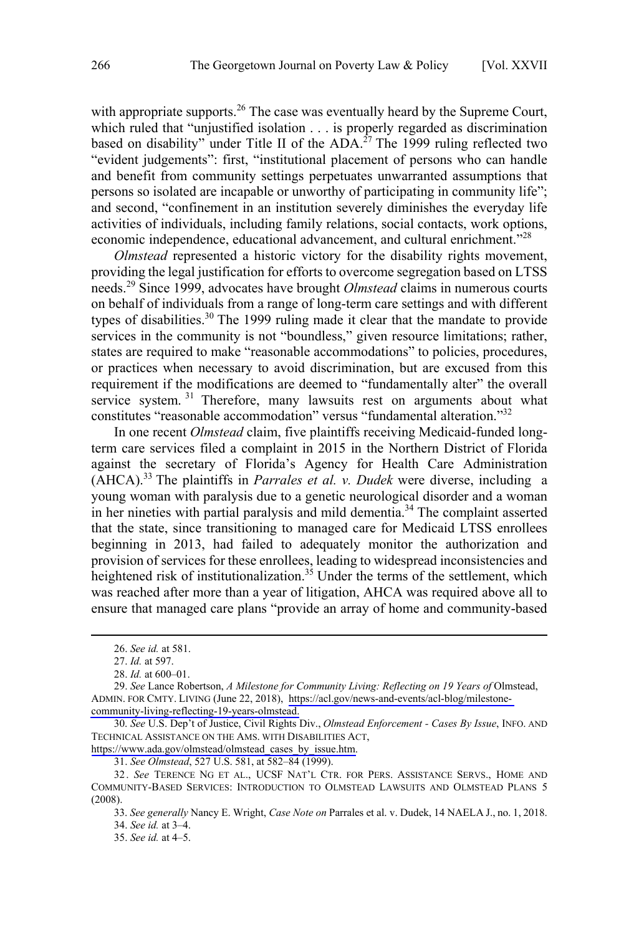with appropriate supports.<sup>26</sup> The case was eventually heard by the Supreme Court. which ruled that "unjustified isolation . . . is properly regarded as discrimination based on disability" under Title II of the ADA.<sup>27</sup> The 1999 ruling reflected two "evident judgements": first, "institutional placement of persons who can handle and benefit from community settings perpetuates unwarranted assumptions that persons so isolated are incapable or unworthy of participating in community life"; and second, "confinement in an institution severely diminishes the everyday life activities of individuals, including family relations, social contacts, work options, economic independence, educational advancement, and cultural enrichment."<sup>28</sup>

*Olmstead* represented a historic victory for the disability rights movement, providing the legal justification for efforts to overcome segregation based on LTSS needs.<sup>29</sup> Since 1999, advocates have brought *Olmstead* claims in numerous courts on behalf of individuals from a range of long-term care settings and with different types of disabilities.<sup>30</sup> The 1999 ruling made it clear that the mandate to provide services in the community is not "boundless," given resource limitations; rather, states are required to make "reasonable accommodations" to policies, procedures, or practices when necessary to avoid discrimination, but are excused from this requirement if the modifications are deemed to "fundamentally alter" the overall service system.<sup>31</sup> Therefore, many lawsuits rest on arguments about what constitutes "reasonable accommodation" versus "fundamental alteration."<sup>32</sup>

In one recent *Olmstead* claim, five plaintiffs receiving Medicaid-funded longterm care services filed a complaint in 2015 in the Northern District of Florida against the secretary of Florida's Agency for Health Care Administration (AHCA).<sup>33</sup> The plaintiffs in *Parrales et al. v. Dudek* were diverse, including a young woman with paralysis due to a genetic neurological disorder and a woman in her nineties with partial paralysis and mild dementia.<sup>34</sup> The complaint asserted that the state, since transitioning to managed care for Medicaid LTSS enrollees beginning in 2013, had failed to adequately monitor the authorization and provision of services for these enrollees, leading to widespread inconsistencies and heightened risk of institutionalization.<sup>35</sup> Under the terms of the settlement, which was reached after more than a year of litigation, AHCA was required above all to ensure that managed care plans "provide an array of home and community-based

 $\overline{a}$ 

[https://www.ada.gov/olmstead/olmstead\\_cases\\_by\\_issue.htm.](https://www.ada.gov/olmstead/olmstead_cases_by_issue.htm)

31. *See Olmstead*, 527 U.S. 581, at 582–84 (1999).

<sup>26.</sup> *See id.* at 581.

<sup>27.</sup> *Id.* at 597.

<sup>28.</sup> *Id.* at 600–01.

<sup>29.</sup> See Lance Robertson, *A Milestone for Community Living: Reflecting on 19 Years of Olmstead*, ADMIN. FOR CMTY. LIVING (June 22, 2018), [https://acl.gov/news-and-events/acl-blog/milestone](https://acl.gov/news-and-events/acl-blog/milestone-community-living-reflecting-19-years-olmstead)[community-living-reflecting-19-years-olmstead.](https://acl.gov/news-and-events/acl-blog/milestone-community-living-reflecting-19-years-olmstead)

*See* U.S. Dep't of Justice, Civil Rights Div., *Olmstead Enforcement - Cases By Issue*, INFO. AND 30. TECHNICAL ASSISTANCE ON THE AMS. WITH DISABILITIES ACT,

<sup>32.</sup> *See* TERENCE NG ET AL., UCSF NAT'L CTR. FOR PERS. ASSISTANCE SERVS., HOME AND COMMUNITY-BASED SERVICES: INTRODUCTION TO OLMSTEAD LAWSUITS AND OLMSTEAD PLANS 5 (2008).

<sup>33.</sup> *See generally* Nancy E. Wright, *Case Note on* Parrales et al. v. Dudek, 14 NAELA J., no. 1, 2018.

<sup>34.</sup> *See id.* at 3–4.

<sup>35.</sup> *See id.* at 4–5.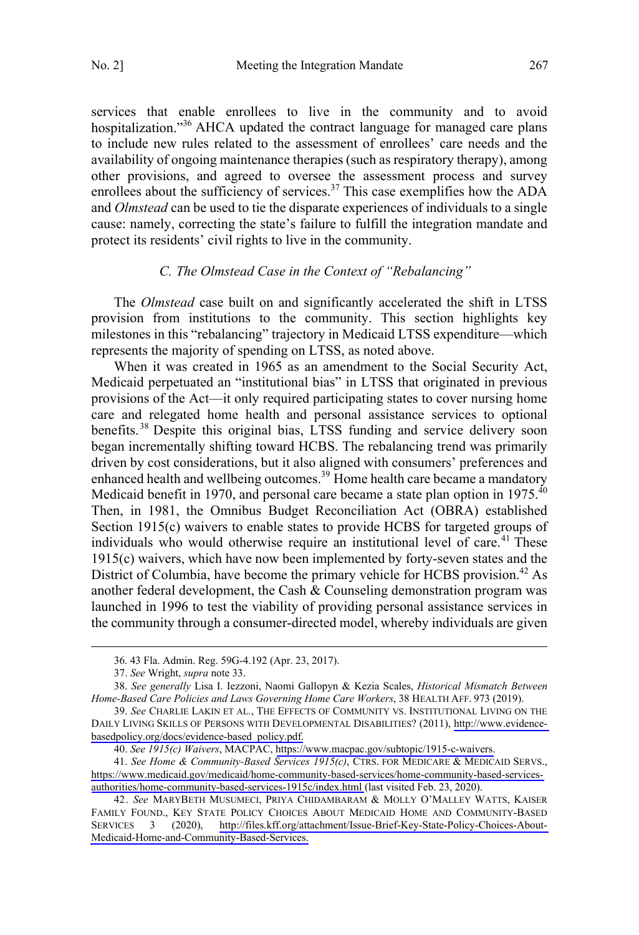<span id="page-6-0"></span>services that enable enrollees to live in the community and to avoid hospitalization."<sup>36</sup> AHCA updated the contract language for managed care plans to include new rules related to the assessment of enrollees' care needs and the availability of ongoing maintenance therapies (such as respiratory therapy), among other provisions, and agreed to oversee the assessment process and survey enrollees about the sufficiency of services.<sup>37</sup> This case exemplifies how the ADA and *Olmstead* can be used to tie the disparate experiences of individuals to a single cause: namely, correcting the state's failure to fulfill the integration mandate and protect its residents' civil rights to live in the community.

## *C. The Olmstead Case in the Context of "Rebalancing"*

The *Olmstead* case built on and significantly accelerated the shift in LTSS provision from institutions to the community. This section highlights key milestones in this "rebalancing" trajectory in Medicaid LTSS expenditure—which represents the majority of spending on LTSS, as noted above.

When it was created in 1965 as an amendment to the Social Security Act, Medicaid perpetuated an "institutional bias" in LTSS that originated in previous provisions of the Act—it only required participating states to cover nursing home care and relegated home health and personal assistance services to optional benefits.<sup>38</sup> Despite this original bias, LTSS funding and service delivery soon began incrementally shifting toward HCBS. The rebalancing trend was primarily driven by cost considerations, but it also aligned with consumers' preferences and enhanced health and wellbeing outcomes.<sup>39</sup> Home health care became a mandatory Medicaid benefit in 1970, and personal care became a state plan option in 1975.<sup>40</sup> Then, in 1981, the Omnibus Budget Reconciliation Act (OBRA) established Section 1915(c) waivers to enable states to provide HCBS for targeted groups of individuals who would otherwise require an institutional level of care.<sup>41</sup> These 1915(c) waivers, which have now been implemented by forty-seven states and the District of Columbia, have become the primary vehicle for HCBS provision.<sup>42</sup> As another federal development, the Cash & Counseling demonstration program was launched in 1996 to test the viability of providing personal assistance services in the community through a consumer-directed model, whereby individuals are given

 <sup>36. 43</sup> Fla. Admin. Reg. 59G-4.192 (Apr. 23, 2017).

<sup>37.</sup> *See* Wright, *supra* note 33.

<sup>38.</sup> *See generally* Lisa I. Iezzoni, Naomi Gallopyn & Kezia Scales, *Historical Mismatch Between Home-Based Care Policies and Laws Governing Home Care Workers*, 38 HEALTH AFF. 973 (2019).

*See* CHARLIE LAKIN ET AL*.*, THE EFFECTS OF COMMUNITY VS. INSTITUTIONAL LIVING ON THE 39. DAILY LIVING SKILLS OF PERSONS WITH DEVELOPMENTAL DISABILITIES? (2011), [http://www.evidence](http://www.evidence-basedpolicy.org/docs/evidence-based_policy.pdf)[basedpolicy.org/docs/evidence-based\\_policy.pdf.](http://www.evidence-basedpolicy.org/docs/evidence-based_policy.pdf)

*See 1915(c) Waivers*, MACPAC, [https://www.macpac.gov/subtopic/1915-c-waivers.](https://www.macpac.gov/subtopic/1915-c-waivers) 40.

*See Home & Community-Based Services 1915(c)*, CTRS. FOR MEDICARE & MEDICAID SERVS., 41. [https://www.medicaid.gov/medicaid/home-community-based-services/home-community-based-services](https://www.medicaid.gov/medicaid/home-community-based-services/home-community-based-services-authorities/home-community-based-services-1915c/index.html)[authorities/home-community-based-services-1915c/index.html](https://www.medicaid.gov/medicaid/home-community-based-services/home-community-based-services-authorities/home-community-based-services-1915c/index.html) (last visited Feb. 23, 2020).

*See* MARYBETH MUSUMECI, PRIYA CHIDAMBARAM & MOLLY O'MALLEY WATTS, KAISER 42. FAMILY FOUND., KEY STATE POLICY CHOICES ABOUT MEDICAID HOME AND COMMUNITY-BASED SERVICES 3 (2020), [http://files.kff.org/attachment/Issue-Brief-Key-State-Policy-Choices-About-](http://files.kff.org/attachment/Issue-Brief-Key-State-Policy-Choices-About-Medicaid-Home-and-Community-Based-Services)[Medicaid-Home-and-Community-Based-Services.](http://files.kff.org/attachment/Issue-Brief-Key-State-Policy-Choices-About-Medicaid-Home-and-Community-Based-Services)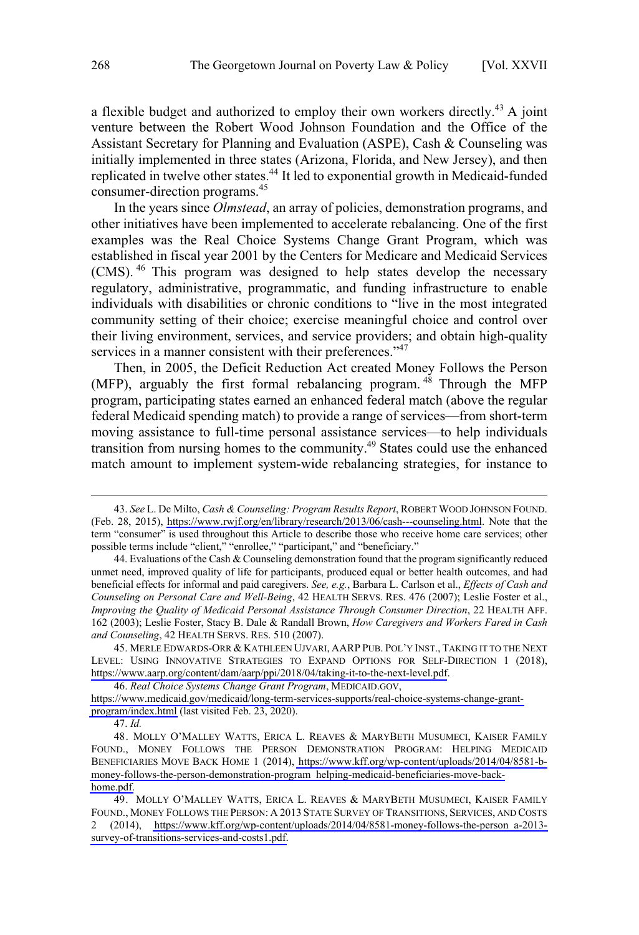a flexible budget and authorized to employ their own workers directly.<sup>43</sup> A joint venture between the Robert Wood Johnson Foundation and the Office of the Assistant Secretary for Planning and Evaluation (ASPE), Cash & Counseling was initially implemented in three states (Arizona, Florida, and New Jersey), and then replicated in twelve other states.<sup>44</sup> It led to exponential growth in Medicaid-funded consumer-direction programs.45

In the years since *Olmstead*, an array of policies, demonstration programs, and other initiatives have been implemented to accelerate rebalancing. One of the first examples was the Real Choice Systems Change Grant Program, which was established in fiscal year 2001 by the Centers for Medicare and Medicaid Services (CMS).<sup>46</sup> This program was designed to help states develop the necessary regulatory, administrative, programmatic, and funding infrastructure to enable individuals with disabilities or chronic conditions to "live in the most integrated community setting of their choice; exercise meaningful choice and control over their living environment, services, and service providers; and obtain high-quality services in a manner consistent with their preferences."<sup>47</sup>

Then, in 2005, the Deficit Reduction Act created Money Follows the Person (MFP), arguably the first formal rebalancing program.  $48$  Through the MFP program, participating states earned an enhanced federal match (above the regular federal Medicaid spending match) to provide a range of services—from short-term moving assistance to full-time personal assistance services—to help individuals transition from nursing homes to the community.<sup>49</sup> States could use the enhanced match amount to implement system-wide rebalancing strategies, for instance to

*Real Choice Systems Change Grant Program*, MEDICAID.GOV, 46.

*See* L. De Milto, *Cash & Counseling: Program Results Report*, ROBERT WOOD JOHNSON FOUND. 43. (Feb. 28, 2015), <https://www.rwjf.org/en/library/research/2013/06/cash---counseling.html>. Note that the term "consumer" is used throughout this Article to describe those who receive home care services; other possible terms include "client," "enrollee," "participant," and "beneficiary."

<sup>44.</sup> Evaluations of the Cash & Counseling demonstration found that the program significantly reduced unmet need, improved quality of life for participants, produced equal or better health outcomes, and had beneficial effects for informal and paid caregivers. *See, e.g.*, Barbara L. Carlson et al., *Effects of Cash and Counseling on Personal Care and Well-Being*, 42 HEALTH SERVS. RES. 476 (2007); Leslie Foster et al., *Improving the Quality of Medicaid Personal Assistance Through Consumer Direction*, 22 HEALTH AFF. 162 (2003); Leslie Foster, Stacy B. Dale & Randall Brown, *How Caregivers and Workers Fared in Cash and Counseling*, 42 HEALTH SERVS. RES. 510 (2007).

<sup>45.</sup> MERLE EDWARDS-ORR & KATHLEEN UJVARI, AARP PUB. POL'Y INST., TAKING IT TO THE NEXT LEVEL: USING INNOVATIVE STRATEGIES TO EXPAND OPTIONS FOR SELF-DIRECTION 1 (2018), <https://www.aarp.org/content/dam/aarp/ppi/2018/04/taking-it-to-the-next-level.pdf>.

[https://www.medicaid.gov/medicaid/long-term-services-supports/real-choice-systems-change-grant](https://www.medicaid.gov/medicaid/long-term-services-supports/real-choice-systems-change-grant-program/index.html)[program/index.html](https://www.medicaid.gov/medicaid/long-term-services-supports/real-choice-systems-change-grant-program/index.html) (last visited Feb. 23, 2020).

<sup>47.</sup> *Id.*

<sup>48.</sup> MOLLY O'MALLEY WATTS, ERICA L. REAVES & MARYBETH MUSUMECI, KAISER FAMILY FOUND., MONEY FOLLOWS THE PERSON DEMONSTRATION PROGRAM: HELPING MEDICAID BENEFICIARIES MOVE BACK HOME 1 (2014), [https://www.kff.org/wp-content/uploads/2014/04/8581-b](https://www.kff.org/wp-content/uploads/2014/04/8581-b-money-follows-the-person-demonstration-program_helping-medicaid-beneficiaries-move-back-home.pdf)[money-follows-the-person-demonstration-program\\_helping-medicaid-beneficiaries-move-back](https://www.kff.org/wp-content/uploads/2014/04/8581-b-money-follows-the-person-demonstration-program_helping-medicaid-beneficiaries-move-back-home.pdf)[home.pdf.](https://www.kff.org/wp-content/uploads/2014/04/8581-b-money-follows-the-person-demonstration-program_helping-medicaid-beneficiaries-move-back-home.pdf)

<sup>49.</sup> MOLLY O'MALLEY WATTS, ERICA L. REAVES & MARYBETH MUSUMECI, KAISER FAMILY FOUND., MONEY FOLLOWS THE PERSON: A 2013 STATE SURVEY OF TRANSITIONS, SERVICES, AND COSTS 2 (2014), [https://www.kff.org/wp-content/uploads/2014/04/8581-money-follows-the-person\\_a-2013](https://www.kff.org/wp-content/uploads/2014/04/8581-money-follows-the-person_a-2013-survey-of-transitions-services-and-costs1.pdf) [survey-of-transitions-services-and-costs1.pdf.](https://www.kff.org/wp-content/uploads/2014/04/8581-money-follows-the-person_a-2013-survey-of-transitions-services-and-costs1.pdf)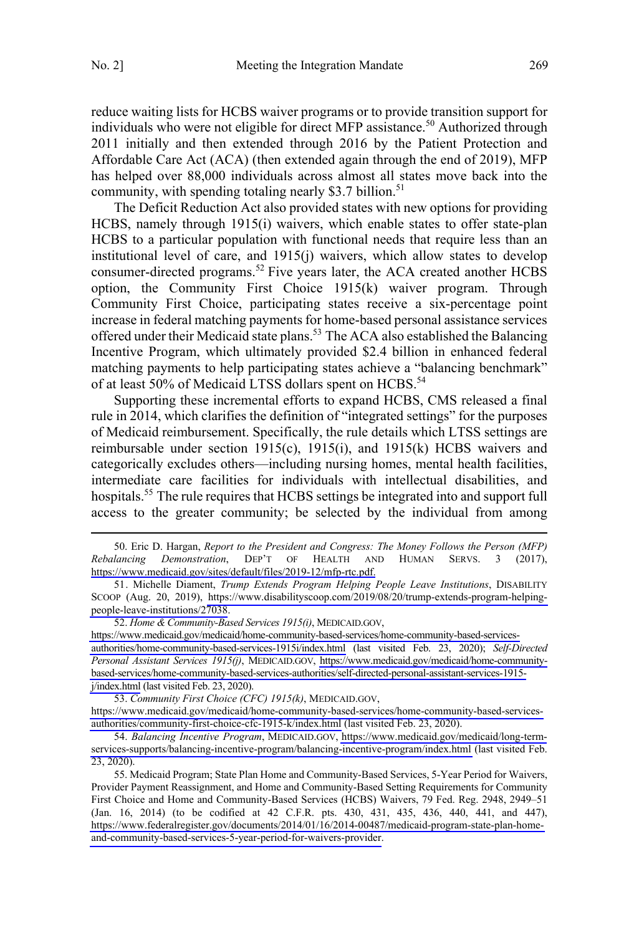reduce waiting lists for HCBS waiver programs or to provide transition support for individuals who were not eligible for direct MFP assistance.<sup>50</sup> Authorized through 2011 initially and then extended through 2016 by the Patient Protection and Affordable Care Act (ACA) (then extended again through the end of 2019), MFP has helped over 88,000 individuals across almost all states move back into the community, with spending totaling nearly \$3.7 billion.<sup>51</sup>

The Deficit Reduction Act also provided states with new options for providing HCBS, namely through 1915(i) waivers, which enable states to offer state-plan HCBS to a particular population with functional needs that require less than an institutional level of care, and 1915(j) waivers, which allow states to develop consumer-directed programs.<sup>52</sup> Five years later, the ACA created another HCBS option, the Community First Choice 1915(k) waiver program. Through Community First Choice, participating states receive a six-percentage point increase in federal matching payments for home-based personal assistance services offered under their Medicaid state plans.<sup>53</sup> The ACA also established the Balancing Incentive Program, which ultimately provided \$2.4 billion in enhanced federal matching payments to help participating states achieve a "balancing benchmark" of at least 50% of Medicaid LTSS dollars spent on HCBS.<sup>54</sup>

Supporting these incremental efforts to expand HCBS, CMS released a final rule in 2014, which clarifies the definition of "integrated settings" for the purposes of Medicaid reimbursement. Specifically, the rule details which LTSS settings are reimbursable under section 1915(c), 1915(i), and 1915(k) HCBS waivers and categorically excludes others—including nursing homes, mental health facilities, intermediate care facilities for individuals with intellectual disabilities, and hospitals.<sup>55</sup> The rule requires that HCBS settings be integrated into and support full access to the greater community; be selected by the individual from among

Eric D. Hargan, *Report to the President and Congress: The Money Follows the Person (MFP)*  50. *Rebalancing Demonstration*, DEP'T OF HEALTH AND HUMAN SERVS. 3 (2017), [https://www.medicaid.gov/sites/default/files/2019-12/mfp-rtc.pdf.](https://www.medicaid.gov/sites/default/files/2019-12/mfp-rtc.pdf)

 $\overline{a}$ 

[https://www.medicaid.gov/medicaid/home-community-based-services/home-community-based-services](https://www.medicaid.gov/medicaid/home-community-based-services/home-community-based-services-authorities/home-community-based-services-1915i/index.html)[authorities/home-community-based-services-1915i/index.html](https://www.medicaid.gov/medicaid/home-community-based-services/home-community-based-services-authorities/home-community-based-services-1915i/index.html) (last visited Feb. 23, 2020); *Self-Directed Personal Assistant Services 1915(j)*, MEDICAID.GOV, [https://www.medicaid.gov/medicaid/home-community](https://www.medicaid.gov/medicaid/home-community-based-services/home-community-based-services-authorities/self-directed-personal-assistant-services-1915-j/index.html)[based-services/home-community-based-services-authorities/self-directed-personal-assistant-services-1915](https://www.medicaid.gov/medicaid/home-community-based-services/home-community-based-services-authorities/self-directed-personal-assistant-services-1915-j/index.html) [j/index.html](https://www.medicaid.gov/medicaid/home-community-based-services/home-community-based-services-authorities/self-directed-personal-assistant-services-1915-j/index.html) (last visited Feb. 23, 2020).

*Community First Choice (CFC) 1915(k)*, MEDICAID.GOV, 53.

[https://www.medicaid.gov/medicaid/home-community-based-services/home-community-based-services](https://www.medicaid.gov/medicaid/home-community-based-services/home-community-based-services-authorities/community-first-choice-cfc-1915-k/index.html)[authorities/community-first-choice-cfc-1915-k/index.html](https://www.medicaid.gov/medicaid/home-community-based-services/home-community-based-services-authorities/community-first-choice-cfc-1915-k/index.html) (last visited Feb. 23, 2020).

54. Balancing Incentive Program, MEDICAID.GOV, [https://www.medicaid.gov/medicaid/long-term](https://www.medicaid.gov/medicaid/long-term-services-supports/balancing-incentive-program/balancing-incentive-program/index.html)[services-supports/balancing-incentive-program/balancing-incentive-program/index.html](https://www.medicaid.gov/medicaid/long-term-services-supports/balancing-incentive-program/balancing-incentive-program/index.html) (last visited Feb. 23, 2020).

55. Medicaid Program; State Plan Home and Community-Based Services, 5-Year Period for Waivers, Provider Payment Reassignment, and Home and Community-Based Setting Requirements for Community First Choice and Home and Community-Based Services (HCBS) Waivers, 79 Fed. Reg. 2948, 2949–51 (Jan. 16, 2014) (to be codified at 42 C.F.R. pts. 430, 431, 435, 436, 440, 441, and 447), [https://www.federalregister.gov/documents/2014/01/16/2014-00487/medicaid-program-state-plan-home](https://www.federalregister.gov/documents/2014/01/16/2014-00487/medicaid-program-state-plan-home-and-community-based-services-5-year-period-for-waivers-provider)[and-community-based-services-5-year-period-for-waivers-provider.](https://www.federalregister.gov/documents/2014/01/16/2014-00487/medicaid-program-state-plan-home-and-community-based-services-5-year-period-for-waivers-provider)

<sup>51.</sup> Michelle Diament, *Trump Extends Program Helping People Leave Institutions*, DISABILITY SCOOP (Aug. 20, 2019), [https://www.disabilityscoop.com/2019/08/20/trump-extends-program-helping](https://www.disabilityscoop.com/2019/08/20/trump-extends-program-helping-people-leave-institutions/27038)[people-leave-institutions/27038](https://www.disabilityscoop.com/2019/08/20/trump-extends-program-helping-people-leave-institutions/27038).

<sup>52.</sup> Home & Community-Based Services 1915(i), MEDICAID.GOV,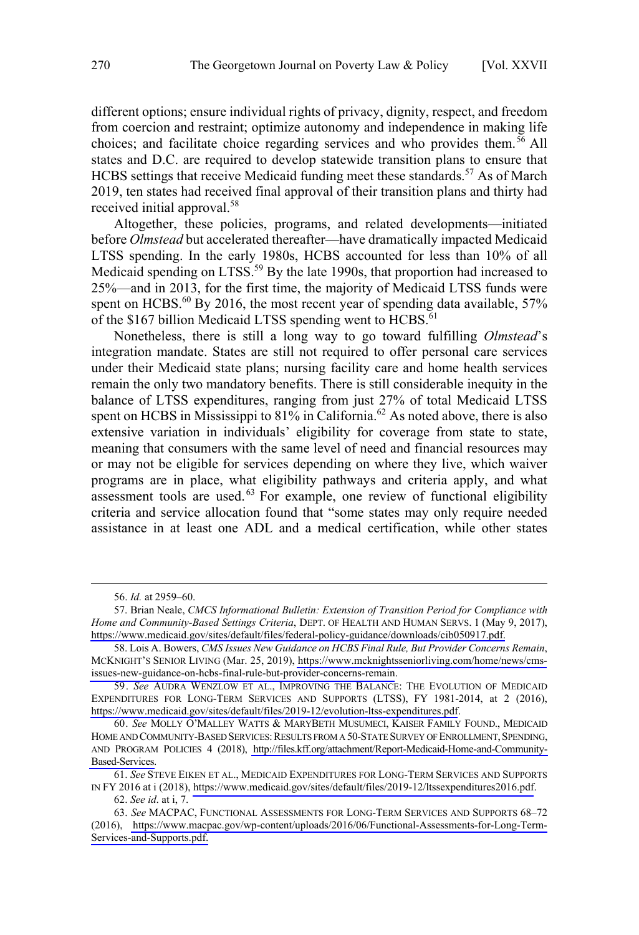different options; ensure individual rights of privacy, dignity, respect, and freedom from coercion and restraint; optimize autonomy and independence in making life choices; and facilitate choice regarding services and who provides them.<sup>56</sup> All states and D.C. are required to develop statewide transition plans to ensure that HCBS settings that receive Medicaid funding meet these standards.<sup>57</sup> As of March 2019, ten states had received final approval of their transition plans and thirty had received initial approval.<sup>58</sup>

Altogether, these policies, programs, and related developments—initiated before *Olmstead* but accelerated thereafter—have dramatically impacted Medicaid LTSS spending. In the early 1980s, HCBS accounted for less than 10% of all Medicaid spending on LTSS.<sup>59</sup> By the late 1990s, that proportion had increased to 25%—and in 2013, for the first time, the majority of Medicaid LTSS funds were spent on HCBS. $^{60}$  By 2016, the most recent year of spending data available, 57% of the \$167 billion Medicaid LTSS spending went to HCBS.<sup>61</sup>

Nonetheless, there is still a long way to go toward fulfilling *Olmstead*'s integration mandate. States are still not required to offer personal care services under their Medicaid state plans; nursing facility care and home health services remain the only two mandatory benefits. There is still considerable inequity in the balance of LTSS expenditures, ranging from just 27% of total Medicaid LTSS spent on HCBS in Mississippi to 81% in California.<sup>62</sup> As noted above, there is also extensive variation in individuals' eligibility for coverage from state to state, meaning that consumers with the same level of need and financial resources may or may not be eligible for services depending on where they live, which waiver programs are in place, what eligibility pathways and criteria apply, and what assessment tools are used.<sup>63</sup> For example, one review of functional eligibility criteria and service allocation found that "some states may only require needed assistance in at least one ADL and a medical certification, while other states

 <sup>56.</sup> *Id.* at 2959–60.

<sup>57.</sup> Brian Neale, CMCS Informational Bulletin: Extension of Transition Period for Compliance with *Home and Community-Based Settings Criteria*, DEPT. OF HEALTH AND HUMAN SERVS. 1 (May 9, 2017), [https://www.medicaid.gov/sites/default/files/federal-policy-guidance/downloads/cib050917.pdf.](https://www.medicaid.gov/sites/default/files/federal-policy-guidance/downloads/cib050917.pdf)

<sup>58.</sup> Lois A. Bowers, CMS Issues New Guidance on HCBS Final Rule, But Provider Concerns Remain, MCKNIGHT'S SENIOR LIVING (Mar. 25, 2019), [https://www.mcknightsseniorliving.com/home/news/cms](https://www.mcknightsseniorliving.com/home/news/cms-issues-new-guidance-on-hcbs-final-rule-but-provider-concerns-remain)[issues-new-guidance-on-hcbs-final-rule-but-provider-concerns-remain](https://www.mcknightsseniorliving.com/home/news/cms-issues-new-guidance-on-hcbs-final-rule-but-provider-concerns-remain).

*See* AUDRA WENZLOW ET AL., IMPROVING THE BALANCE: THE EVOLUTION OF MEDICAID 59. EXPENDITURES FOR LONG-TERM SERVICES AND SUPPORTS (LTSS), FY 1981-2014, at 2 (2016), <https://www.medicaid.gov/sites/default/files/2019-12/evolution-ltss-expenditures.pdf>.

*See* MOLLY O'MALLEY WATTS & MARYBETH MUSUMECI, KAISER FAMILY FOUND., MEDICAID 60. HOME AND COMMUNITY-BASED SERVICES: RESULTS FROM A 50-STATE SURVEY OF ENROLLMENT, SPENDING, AND PROGRAM POLICIES 4 (2018), [http://files.kff.org/attachment/Report-Medicaid-Home-and-Community-](http://files.kff.org/attachment/Report-Medicaid-Home-and-Community-Based-Services)[Based-Services.](http://files.kff.org/attachment/Report-Medicaid-Home-and-Community-Based-Services)

*See* STEVE EIKEN ET AL., MEDICAID EXPENDITURES FOR LONG-TERM SERVICES AND SUPPORTS 61. IN FY 2016 at i (2018),<https://www.medicaid.gov/sites/default/files/2019-12/ltssexpenditures2016.pdf>.

<sup>62.</sup> *See id*. at i, 7.

*See* MACPAC, FUNCTIONAL ASSESSMENTS FOR LONG-TERM SERVICES AND SUPPORTS 68–72 63. (2016), [https://www.macpac.gov/wp-content/uploads/2016/06/Functional-Assessments-for-Long-Term-](https://www.macpac.gov/wp-content/uploads/2016/06/Functional-Assessments-for-Long-Term-Services-and-Supports.pdf)[Services-and-Supports.pdf.](https://www.macpac.gov/wp-content/uploads/2016/06/Functional-Assessments-for-Long-Term-Services-and-Supports.pdf)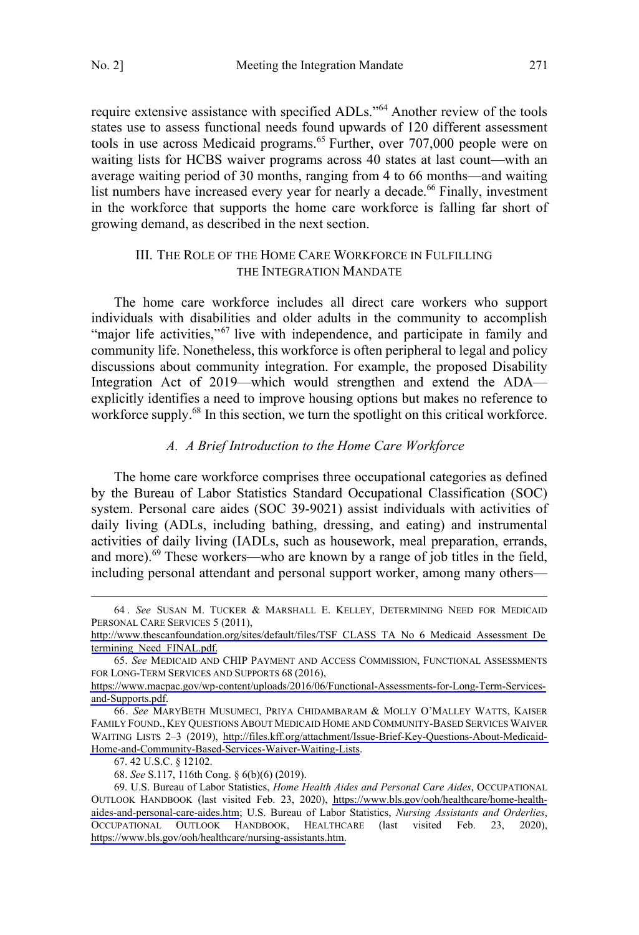<span id="page-10-0"></span>require extensive assistance with specified ADLs."<sup>64</sup> Another review of the tools states use to assess functional needs found upwards of 120 different assessment tools in use across Medicaid programs. 65 Further, over 707,000 people were on waiting lists for HCBS waiver programs across 40 states at last count—with an average waiting period of 30 months, ranging from 4 to 66 months—and waiting list numbers have increased every year for nearly a decade.<sup>66</sup> Finally, investment in the workforce that supports the home care workforce is falling far short of growing demand, as described in the next section.

## III. THE ROLE OF THE HOME CARE WORKFORCE IN FULFILLING THE INTEGRATION MANDATE

The home care workforce includes all direct care workers who support individuals with disabilities and older adults in the community to accomplish "major life activities,"<sup>67</sup> live with independence, and participate in family and community life. Nonetheless, this workforce is often peripheral to legal and policy discussions about community integration. For example, the proposed Disability Integration Act of 2019—which would strengthen and extend the ADA explicitly identifies a need to improve housing options but makes no reference to workforce supply.<sup>68</sup> In this section, we turn the spotlight on this critical workforce.

#### *A. A Brief Introduction to the Home Care Workforce*

The home care workforce comprises three occupational categories as defined by the Bureau of Labor Statistics Standard Occupational Classification (SOC) system. Personal care aides (SOC 39-9021) assist individuals with activities of daily living (ADLs, including bathing, dressing, and eating) and instrumental activities of daily living (IADLs, such as housework, meal preparation, errands, and more). $^{69}$  These workers—who are known by a range of job titles in the field, including personal attendant and personal support worker, among many others—

 $\overline{a}$ 

*See* SUSAN M. TUCKER & MARSHALL E. KELLEY, DETERMINING NEED FOR MEDICAID 64 . PERSONAL CARE SERVICES 5 (2011),

[http://www.thescanfoundation.org/sites/default/files/TSF\\_CLASS\\_TA\\_No\\_6\\_Medicaid\\_Assessment\\_De](http://www.thescanfoundation.org/sites/default/files/TSF_CLASS_TA_No_6_Medicaid_Assessment_Determining_Need_FINAL.pdf) [termining\\_Need\\_FINAL.pdf.](http://www.thescanfoundation.org/sites/default/files/TSF_CLASS_TA_No_6_Medicaid_Assessment_Determining_Need_FINAL.pdf)

<sup>65.</sup>  *See* MEDICAID AND CHIP PAYMENT AND ACCESS COMMISSION, FUNCTIONAL ASSESSMENTS FOR LONG-TERM SERVICES AND SUPPORTS 68 (2016),

[https://www.macpac.gov/wp-content/uploads/2016/06/Functional-Assessments-for-Long-Term-Services](https://www.macpac.gov/wp-content/uploads/2016/06/Functional-Assessments-for-Long-Term-Services-and-Supports.pdf)[and-Supports.pdf.](https://www.macpac.gov/wp-content/uploads/2016/06/Functional-Assessments-for-Long-Term-Services-and-Supports.pdf)

*See* MARYBETH MUSUMECI, PRIYA CHIDAMBARAM & MOLLY O'MALLEY WATTS, KAISER 66. FAMILY FOUND., KEY QUESTIONS ABOUT MEDICAID HOME AND COMMUNITY-BASED SERVICES WAIVER WAITING LISTS 2–3 (2019), [http://files.kff.org/attachment/Issue-Brief-Key-Questions-About-Medicaid-](http://files.kff.org/attachment/Issue-Brief-Key-Questions-About-Medicaid-Home-and-Community-Based-Services-Waiver-Waiting-Lists)[Home-and-Community-Based-Services-Waiver-Waiting-Lists.](http://files.kff.org/attachment/Issue-Brief-Key-Questions-About-Medicaid-Home-and-Community-Based-Services-Waiver-Waiting-Lists)

<sup>67. 42</sup> U.S.C. § 12102.

<sup>68.</sup> *See* S.117, 116th Cong. § 6(b)(6) (2019).

U.S. Bureau of Labor Statistics, *Home Health Aides and Personal Care Aides*, OCCUPATIONAL 69. OUTLOOK HANDBOOK (last visited Feb. 23, 2020), [https://www.bls.gov/ooh/healthcare/home-health](https://www.bls.gov/ooh/healthcare/home-health-aides-and-personal-care-aides.htm)[aides-and-personal-care-aides.htm;](https://www.bls.gov/ooh/healthcare/home-health-aides-and-personal-care-aides.htm) U.S. Bureau of Labor Statistics, *Nursing Assistants and Orderlies*, HEALTHCARE (last visited Feb. 23, 2020), [https://www.bls.gov/ooh/healthcare/nursing-assistants.htm.](https://www.bls.gov/ooh/healthcare/nursing-assistants.htm)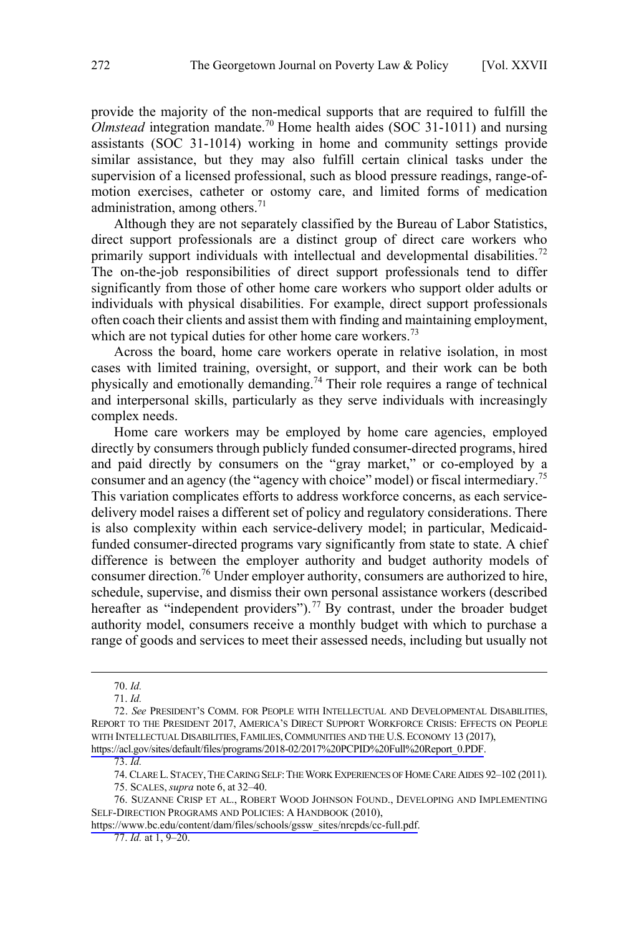provide the majority of the non-medical supports that are required to fulfill the *Olmstead* integration mandate.70 Home health aides (SOC 31-1011) and nursing assistants (SOC 31-1014) working in home and community settings provide similar assistance, but they may also fulfill certain clinical tasks under the supervision of a licensed professional, such as blood pressure readings, range-ofmotion exercises, catheter or ostomy care, and limited forms of medication administration, among others. $71$ 

Although they are not separately classified by the Bureau of Labor Statistics, direct support professionals are a distinct group of direct care workers who primarily support individuals with intellectual and developmental disabilities.<sup>72</sup> The on-the-job responsibilities of direct support professionals tend to differ significantly from those of other home care workers who support older adults or individuals with physical disabilities. For example, direct support professionals often coach their clients and assist them with finding and maintaining employment, which are not typical duties for other home care workers.<sup>73</sup>

Across the board, home care workers operate in relative isolation, in most cases with limited training, oversight, or support, and their work can be both physically and emotionally demanding.74 Their role requires a range of technical and interpersonal skills, particularly as they serve individuals with increasingly complex needs.

Home care workers may be employed by home care agencies, employed directly by consumers through publicly funded consumer-directed programs, hired and paid directly by consumers on the "gray market," or co-employed by a consumer and an agency (the "agency with choice" model) or fiscal intermediary.<sup>75</sup> This variation complicates efforts to address workforce concerns, as each servicedelivery model raises a different set of policy and regulatory considerations. There is also complexity within each service-delivery model; in particular, Medicaidfunded consumer-directed programs vary significantly from state to state. A chief difference is between the employer authority and budget authority models of consumer direction.<sup>76</sup> Under employer authority, consumers are authorized to hire, schedule, supervise, and dismiss their own personal assistance workers (described hereafter as "independent providers").<sup>77</sup> By contrast, under the broader budget authority model, consumers receive a monthly budget with which to purchase a range of goods and services to meet their assessed needs, including but usually not

 $\overline{a}$ 

[https://www.bc.edu/content/dam/files/schools/gssw\\_sites/nrcpds/cc-full.pdf](https://www.bc.edu/content/dam/files/schools/gssw_sites/nrcpds/cc-full.pdf).

77. *Id.* at 1, 9–20.

<sup>70.</sup> *Id.*

<sup>71.</sup> *Id.*

*See* PRESIDENT'S COMM. FOR PEOPLE WITH INTELLECTUAL AND DEVELOPMENTAL DISABILITIES, 72. REPORT TO THE PRESIDENT 2017, AMERICA'S DIRECT SUPPORT WORKFORCE CRISIS: EFFECTS ON PEOPLE WITH INTELLECTUAL DISABILITIES, FAMILIES, COMMUNITIES AND THE U.S. ECONOMY 13 (2017), [https://acl.gov/sites/default/files/programs/2018-02/2017%20PCPID%20Full%20Report\\_0.PDF.](https://acl.gov/sites/default/files/programs/2018-02/2017%20PCPID%20Full%20Report_0.PDF)

<sup>73.</sup> *Id.* 

<sup>74.</sup> CLARE L.STACEY,THE CARING SELF:THE WORK EXPERIENCES OF HOME CARE AIDES 92–102 (2011).

<sup>75.</sup> SCALES, *supra* note 6, at 32–40.

<sup>76.</sup> SUZANNE CRISP ET AL., ROBERT WOOD JOHNSON FOUND., DEVELOPING AND IMPLEMENTING SELF-DIRECTION PROGRAMS AND POLICIES: A HANDBOOK (2010),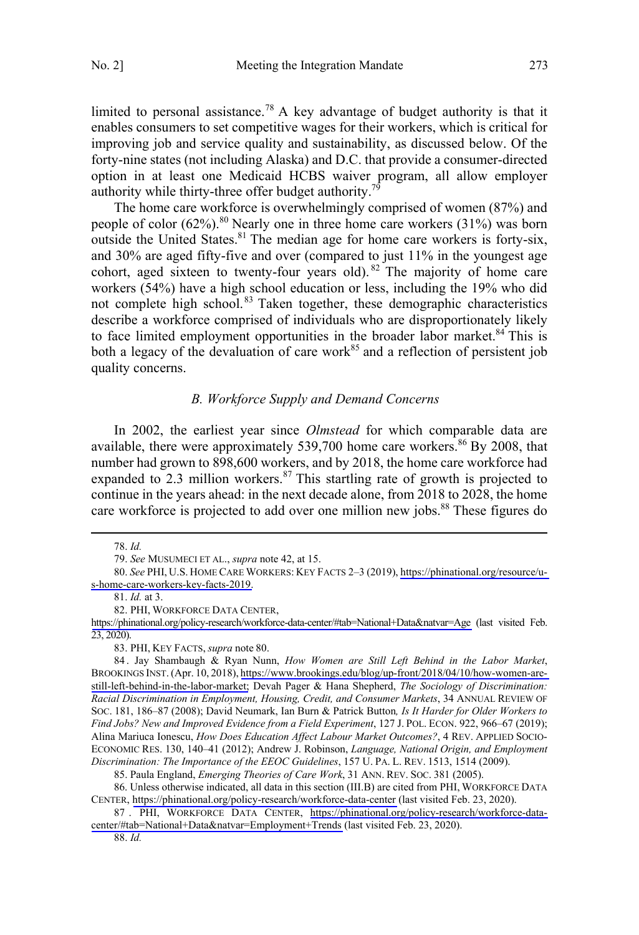<span id="page-12-0"></span>limited to personal assistance.<sup>78</sup> A key advantage of budget authority is that it enables consumers to set competitive wages for their workers, which is critical for improving job and service quality and sustainability, as discussed below. Of the forty-nine states (not including Alaska) and D.C. that provide a consumer-directed option in at least one Medicaid HCBS waiver program, all allow employer authority while thirty-three offer budget authority.<sup>79</sup>

The home care workforce is overwhelmingly comprised of women (87%) and people of color  $(62\%)$ .<sup>80</sup> Nearly one in three home care workers  $(31\%)$  was born outside the United States. $81$  The median age for home care workers is forty-six, and 30% are aged fifty-five and over (compared to just 11% in the youngest age cohort, aged sixteen to twenty-four years old). <sup>82</sup> The majority of home care workers (54%) have a high school education or less, including the 19% who did not complete high school.<sup>83</sup> Taken together, these demographic characteristics describe a workforce comprised of individuals who are disproportionately likely to face limited employment opportunities in the broader labor market.<sup>84</sup> This is both a legacy of the devaluation of care work<sup>85</sup> and a reflection of persistent job quality concerns.

#### *B. Workforce Supply and Demand Concerns*

In 2002, the earliest year since *Olmstead* for which comparable data are available, there were approximately 539,700 home care workers.<sup>86</sup> By 2008, that number had grown to 898,600 workers, and by 2018, the home care workforce had expanded to 2.3 million workers. $87$  This startling rate of growth is projected to continue in the years ahead: in the next decade alone, from 2018 to 2028, the home care workforce is projected to add over one million new jobs.<sup>88</sup> These figures do

 $\overline{a}$ 

85. Paula England, *Emerging Theories of Care Work*, 31 ANN. REV. SOC. 381 (2005).

88. *Id.*

<sup>78.</sup> *Id.*

<sup>79.</sup> *See* MUSUMECI ET AL., *supra* note 42, at 15.

*See* PHI, U.S. HOME CARE WORKERS: KEY FACTS 2–3 (2019), [https://phinational.org/resource/u-](https://phinational.org/resource/u-s-home-care-workers-key-facts-2019/)80. [s-home-care-workers-key-facts-2019.](https://phinational.org/resource/u-s-home-care-workers-key-facts-2019/)

<sup>81.</sup> *Id.* at 3.

<sup>82.</sup> PHI, WORKFORCE DATA CENTER,

<https://phinational.org/policy-research/workforce-data-center/#tab=National+Data&natvar=Age>(last visited Feb. 23, 2020).

<sup>83.</sup> PHI, KEY FACTS, *supra* note 80.

<sup>84 .</sup> Jay Shambaugh & Ryan Nunn, *How Women are Still Left Behind in the Labor Market*, BROOKINGS INST.(Apr. 10, 2018), [https://www.brookings.edu/blog/up-front/2018/04/10/how-women-are](https://www.brookings.edu/blog/up-front/2018/04/10/how-women-are-still-left-behind-in-the-labor-market)[still-left-behind-in-the-labor-market;](https://www.brookings.edu/blog/up-front/2018/04/10/how-women-are-still-left-behind-in-the-labor-market) Devah Pager & Hana Shepherd, *The Sociology of Discrimination: Racial Discrimination in Employment, Housing, Credit, and Consumer Markets*, 34 ANNUAL REVIEW OF SOC. 181, 186–87 (2008); David Neumark, Ian Burn & Patrick Button*, Is It Harder for Older Workers to Find Jobs? New and Improved Evidence from a Field Experiment*, 127 J. POL. ECON. 922, 966–67 (2019); Alina Mariuca Ionescu, *How Does Education Affect Labour Market Outcomes?*, 4 REV. APPLIED SOCIO-ECONOMIC RES. 130, 140–41 (2012); Andrew J. Robinson, *Language, National Origin, and Employment Discrimination: The Importance of the EEOC Guidelines*, 157 U. PA. L. REV. 1513, 1514 (2009).

<sup>86.</sup> Unless otherwise indicated, all data in this section (III.B) are cited from PHI, WORKFORCE DATA CENTER, <https://phinational.org/policy-research/workforce-data-center> (last visited Feb. 23, 2020).

<sup>87 .</sup> PHI, WORKFORCE DATA CENTER, [https://phinational.org/policy-research/workforce-data](https://phinational.org/policy-research/workforce-data-center/#tab=National+Data&natvar=Employment+Trends)[center/#tab=National+Data&natvar=Employment+Trends](https://phinational.org/policy-research/workforce-data-center/#tab=National+Data&natvar=Employment+Trends) (last visited Feb. 23, 2020).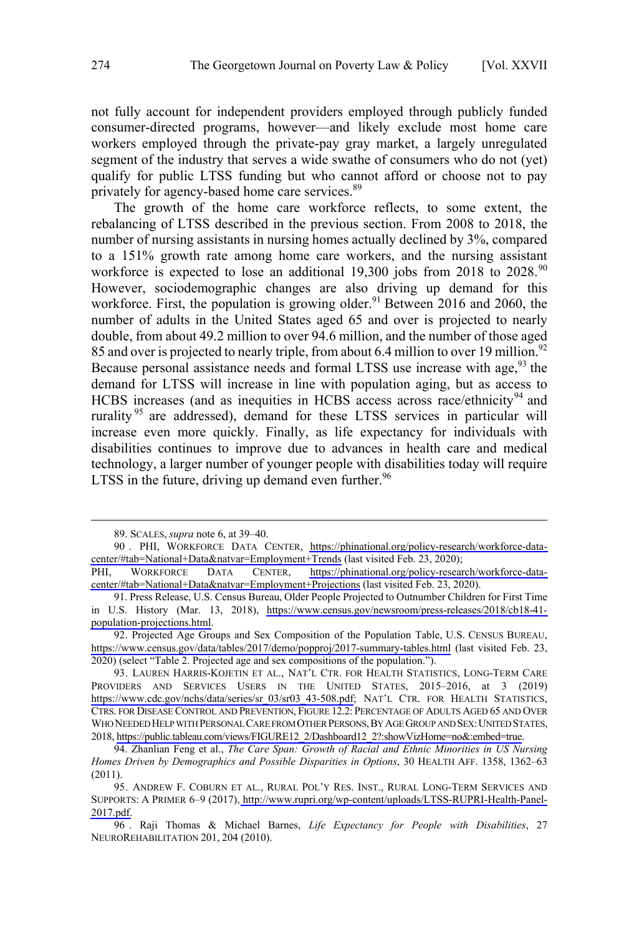not fully account for independent providers employed through publicly funded consumer-directed programs, however—and likely exclude most home care workers employed through the private-pay gray market, a largely unregulated segment of the industry that serves a wide swathe of consumers who do not (yet) qualify for public LTSS funding but who cannot afford or choose not to pay privately for agency-based home care services.<sup>89</sup>

The growth of the home care workforce reflects, to some extent, the rebalancing of LTSS described in the previous section. From 2008 to 2018, the number of nursing assistants in nursing homes actually declined by 3%, compared to a 151% growth rate among home care workers, and the nursing assistant workforce is expected to lose an additional 19,300 jobs from 2018 to  $2028.^{90}$ However, sociodemographic changes are also driving up demand for this workforce. First, the population is growing older.<sup>91</sup> Between 2016 and 2060, the number of adults in the United States aged 65 and over is projected to nearly double, from about 49.2 million to over 94.6 million, and the number of those aged 85 and over is projected to nearly triple, from about 6.4 million to over 19 million.<sup>92</sup> Because personal assistance needs and formal LTSS use increase with age,  $93$  the demand for LTSS will increase in line with population aging, but as access to HCBS increases (and as inequities in HCBS access across race/ethnicity<sup>94</sup> and rurality<sup>95</sup> are addressed), demand for these LTSS services in particular will LTSS in the future, driving up demand even further. $96$ increase even more quickly. Finally, as life expectancy for individuals with disabilities continues to improve due to advances in health care and medical technology, a larger number of younger people with disabilities today will require

<sup>89.</sup> SCALES, *supra* note 6, at 39–40.

<sup>90 .</sup> PHI, WORKFORCE DATA CENTER, [https://phinational.org/policy-research/workforce-data](https://phinational.org/policy-research/workforce-data-center/#tab=National+Data&natvar=Employment+Trends)[center/#tab=National+Data&natvar=Employment+Trends](https://phinational.org/policy-research/workforce-data-center/#tab=National+Data&natvar=Employment+Trends) (last visited Feb. 23, 2020);

PHI, WORKFORCE DATA CENTER, [https://phinational.org/policy-research/workforce-data](https://phinational.org/policy-research/workforce-data-center/#tab=National+Data&natvar=Employment+Projections)[center/#tab=National+Data&natvar=Employment+Projections](https://phinational.org/policy-research/workforce-data-center/#tab=National+Data&natvar=Employment+Projections) (last visited Feb. 23, 2020).

<sup>91.</sup> Press Release, U.S. Census Bureau, Older People Projected to Outnumber Children for First Time in U.S. History (Mar. 13, 2018), [https://www.census.gov/newsroom/press-releases/2018/cb18-41](https://www.census.gov/newsroom/press-releases/2018/cb18-41-population-projections.html) [population-projections.html.](https://www.census.gov/newsroom/press-releases/2018/cb18-41-population-projections.html)

<sup>92.</sup> Projected Age Groups and Sex Composition of the Population Table, U.S. CENSUS BUREAU, <https://www.census.gov/data/tables/2017/demo/popproj/2017-summary-tables.html>(last visited Feb. 23, 2020) (select "Table 2. Projected age and sex compositions of the population.").

<sup>93.</sup> LAUREN HARRIS-KOJETIN ET AL., NAT'L CTR. FOR HEALTH STATISTICS, LONG-TERM CARE PROVIDERS AND SERVICES USERS IN THE UNITED STATES, 2015–2016, at 3 (2019) [https://www.cdc.gov/nchs/data/series/sr\\_03/sr03\\_43-508.pdf](https://www.cdc.gov/nchs/data/series/sr_03/sr03_43-508.pdf); NAT'L CTR. FOR HEALTH STATISTICS, CTRS. FOR DISEASE CONTROL AND PREVENTION, FIGURE 12.2: PERCENTAGE OF ADULTS AGED 65 AND OVER WHO NEEDED HELP WITH PERSONAL CARE FROM OTHER PERSONS, BY AGE GROUP AND SEX: UNITED STATES, 2018, [https://public.tableau.com/views/FIGURE12\\_2/Dashboard12\\_2?:showVizHome=no&:embed=true.](https://public.tableau.com/views/FIGURE12_2/Dashboard12_2?:showVizHome=no&:embed=true)

<sup>94.</sup> Zhanlian Feng et al., *The Care Span: Growth of Racial and Ethnic Minorities in US Nursing Homes Driven by Demographics and Possible Disparities in Options*, 30 HEALTH AFF. 1358, 1362–63 (2011).

<sup>95.</sup> ANDREW F. COBURN ET AL., RURAL POL'Y RES. INST., RURAL LONG-TERM SERVICES AND SUPPORTS: A PRIMER 6–9 (2017), [http://www.rupri.org/wp-content/uploads/LTSS-RUPRI-Health-Panel-](http://www.rupri.org/wp-content/uploads/LTSS-RUPRI-Health-Panel-2017.pdf)[2017.pdf.](http://www.rupri.org/wp-content/uploads/LTSS-RUPRI-Health-Panel-2017.pdf)

<sup>96 .</sup> Raji Thomas & Michael Barnes, *Life Expectancy for People with Disabilities*, 27 NEUROREHABILITATION 201, 204 (2010).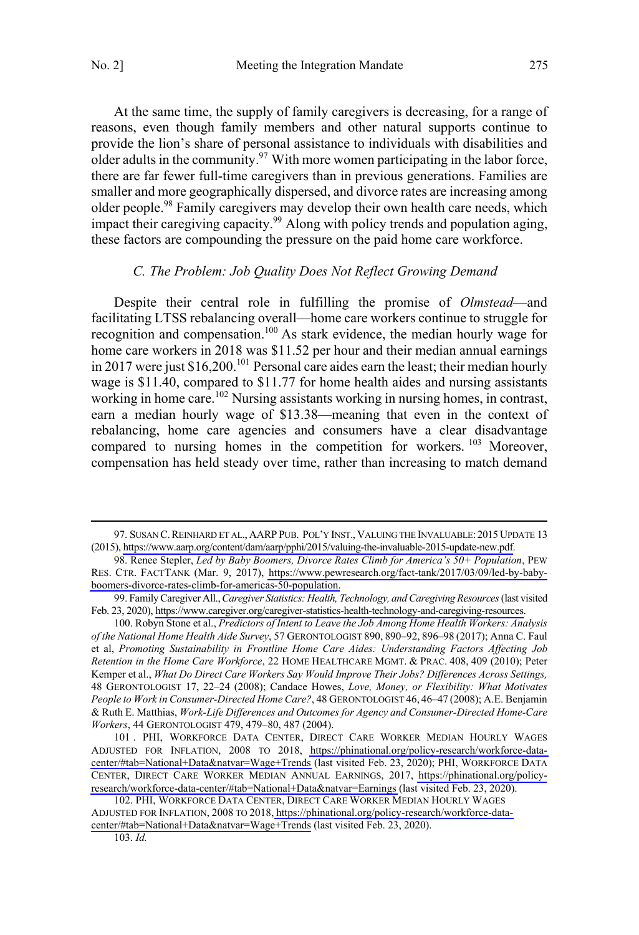<span id="page-14-0"></span>At the same time, the supply of family caregivers is decreasing, for a range of reasons, even though family members and other natural supports continue to provide the lion's share of personal assistance to individuals with disabilities and older adults in the community.<sup>97</sup> With more women participating in the labor force, there are far fewer full-time caregivers than in previous generations. Families are smaller and more geographically dispersed, and divorce rates are increasing among older people.<sup>98</sup> Family caregivers may develop their own health care needs, which impact their caregiving capacity. 99 Along with policy trends and population aging, these factors are compounding the pressure on the paid home care workforce.

#### *C. The Problem: Job Quality Does Not Reflect Growing Demand*

Despite their central role in fulfilling the promise of *Olmstead*—and facilitating LTSS rebalancing overall—home care workers continue to struggle for recognition and compensation.<sup>100</sup> As stark evidence, the median hourly wage for home care workers in 2018 was \$11.52 per hour and their median annual earnings in 2017 were just \$16,200.<sup>101</sup> Personal care aides earn the least; their median hourly wage is \$11.40, compared to \$11.77 for home health aides and nursing assistants working in home care.<sup>102</sup> Nursing assistants working in nursing homes, in contrast, earn a median hourly wage of \$13.38—meaning that even in the context of rebalancing, home care agencies and consumers have a clear disadvantage compared to nursing homes in the competition for workers. <sup>103</sup> Moreover, compensation has held steady over time, rather than increasing to match demand

 $\overline{a}$ 

103. *Id.* 

<sup>97.</sup> SUSAN C. REINHARD ET AL., AARP PUB. POL'Y INST., VALUING THE INVALUABLE: 2015 UPDATE 13 (2015), [https://www.aarp.org/content/dam/aarp/pphi/2015/valuing-the-invaluable-2015-update-new.pdf.](https://www.aarp.org/content/dam/aarp/pphi/2015/valuing-the-invaluable-2015-update-new.pdf)

<sup>98.</sup> Renee Stepler, *Led by Baby Boomers, Divorce Rates Climb for America's 50+ Population*, PEW RES. CTR. FACTTANK (Mar. 9, 2017), [https://www.pewresearch.org/fact-tank/2017/03/09/led-by-baby](https://www.pewresearch.org/fact-tank/2017/03/09/led-by-baby-boomers-divorce-rates-climb-for-americas-50-population)[boomers-divorce-rates-climb-for-americas-50-population.](https://www.pewresearch.org/fact-tank/2017/03/09/led-by-baby-boomers-divorce-rates-climb-for-americas-50-population)

<sup>99.</sup> Family Caregiver All., Caregiver Statistics: Health, Technology, and Caregiving Resources (last visited Feb. 23, 2020),<https://www.caregiver.org/caregiver-statistics-health-technology-and-caregiving-resources>.

<sup>100.</sup> Robyn Stone et al., *Predictors of Intent to Leave the Job Among Home Health Workers: Analysis of the National Home Health Aide Survey*, 57 GERONTOLOGIST 890, 890–92, 896–98 (2017); Anna C. Faul et al, *Promoting Sustainability in Frontline Home Care Aides: Understanding Factors Affecting Job Retention in the Home Care Workforce*, 22 HOME HEALTHCARE MGMT. & PRAC. 408, 409 (2010); Peter Kemper et al., *What Do Direct Care Workers Say Would Improve Their Jobs? Differences Across Settings,* 48 GERONTOLOGIST 17, 22–24 (2008); Candace Howes, *Love, Money, or Flexibility: What Motivates People to Work in Consumer-Directed Home Care?*, 48 GERONTOLOGIST 46, 46–47 (2008); A.E. Benjamin & Ruth E. Matthias, *Work-Life Differences and Outcomes for Agency and Consumer-Directed Home-Care Workers*, 44 GERONTOLOGIST 479, 479–80, 487 (2004).

<sup>101.</sup> PHI, WORKFORCE DATA CENTER, DIRECT CARE WORKER MEDIAN HOURLY WAGES ADJUSTED FOR INFLATION, 2008 TO 2018, [https://phinational.org/policy-research/workforce-data](https://phinational.org/policy-research/workforce-data-center/#tab=National+Data&natvar=Wage+Trends)[center/#tab=National+Data&natvar=Wage+Trends](https://phinational.org/policy-research/workforce-data-center/#tab=National+Data&natvar=Wage+Trends) (last visited Feb. 23, 2020); PHI, WORKFORCE DATA CENTER, DIRECT CARE WORKER MEDIAN ANNUAL EARNINGS, 2017, [https://phinational.org/policy](https://phinational.org/policy-research/workforce-data-center/#tab=National+Data&natvar=Earnings)[research/workforce-data-center/#tab=National+Data&natvar=Earnings](https://phinational.org/policy-research/workforce-data-center/#tab=National+Data&natvar=Earnings) (last visited Feb. 23, 2020).

<sup>102.</sup> PHI, WORKFORCE DATA CENTER, DIRECT CARE WORKER MEDIAN HOURLY WAGES ADJUSTED FOR INFLATION, 2008 TO 2018, [https://phinational.org/policy-research/workforce-data](https://phinational.org/policy-research/workforce-data-center/#tab=National+Data&natvar=Wage+Trends)[center/#tab=National+Data&natvar=Wage+Trends](https://phinational.org/policy-research/workforce-data-center/#tab=National+Data&natvar=Wage+Trends) (last visited Feb. 23, 2020).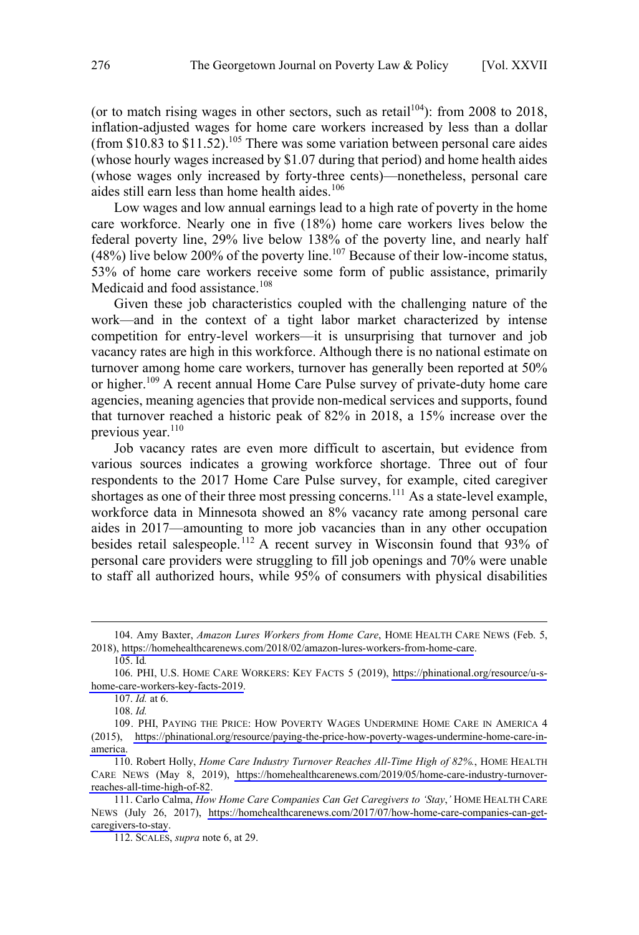(or to match rising wages in other sectors, such as retail<sup>104</sup>): from 2008 to 2018, inflation-adjusted wages for home care workers increased by less than a dollar (from \$10.83 to \$11.52).<sup>105</sup> There was some variation between personal care aides (whose hourly wages increased by \$1.07 during that period) and home health aides (whose wages only increased by forty-three cents)—nonetheless, personal care aides still earn less than home health aides.<sup>106</sup>

Low wages and low annual earnings lead to a high rate of poverty in the home care workforce. Nearly one in five (18%) home care workers lives below the federal poverty line, 29% live below 138% of the poverty line, and nearly half  $(48%)$  live below 200% of the poverty line.<sup>107</sup> Because of their low-income status, 53% of home care workers receive some form of public assistance, primarily Medicaid and food assistance.<sup>108</sup>

Given these job characteristics coupled with the challenging nature of the work—and in the context of a tight labor market characterized by intense competition for entry-level workers—it is unsurprising that turnover and job vacancy rates are high in this workforce. Although there is no national estimate on turnover among home care workers, turnover has generally been reported at 50% or higher.<sup>109</sup> A recent annual Home Care Pulse survey of private-duty home care agencies, meaning agencies that provide non-medical services and supports, found that turnover reached a historic peak of 82% in 2018, a 15% increase over the previous year. $110$ 

Job vacancy rates are even more difficult to ascertain, but evidence from various sources indicates a growing workforce shortage. Three out of four respondents to the 2017 Home Care Pulse survey, for example, cited caregiver shortages as one of their three most pressing concerns.<sup>111</sup> As a state-level example, workforce data in Minnesota showed an 8% vacancy rate among personal care aides in 2017—amounting to more job vacancies than in any other occupation besides retail salespeople.<sup>112</sup> A recent survey in Wisconsin found that  $93\%$  of personal care providers were struggling to fill job openings and 70% were unable to staff all authorized hours, while 95% of consumers with physical disabilities

<sup>104.</sup> Amy Baxter, *Amazon Lures Workers from Home Care*, HOME HEALTH CARE NEWS (Feb. 5, 2018),<https://homehealthcarenews.com/2018/02/amazon-lures-workers-from-home-care>.

<sup>105.</sup> Id*.* 

<sup>106.</sup> PHI, U.S. HOME CARE WORKERS: KEY FACTS 5 (2019), [https://phinational.org/resource/u-s](https://phinational.org/resource/u-s-home-care-workers-key-facts-2019)[home-care-workers-key-facts-2019.](https://phinational.org/resource/u-s-home-care-workers-key-facts-2019)

<sup>107.</sup> *Id.* at 6.

<sup>108.</sup> *Id.*

<sup>109.</sup> PHI, PAYING THE PRICE: HOW POVERTY WAGES UNDERMINE HOME CARE IN AMERICA 4 (2015), [https://phinational.org/resource/paying-the-price-how-poverty-wages-undermine-home-care-in](https://phinational.org/resource/paying-the-price-how-poverty-wages-undermine-home-care-in-america)[america.](https://phinational.org/resource/paying-the-price-how-poverty-wages-undermine-home-care-in-america)

<sup>110.</sup> Robert Holly, *Home Care Industry Turnover Reaches All-Time High of 82%*., HOME HEALTH CARE NEWS (May 8, 2019), [https://homehealthcarenews.com/2019/05/home-care-industry-turnover](https://homehealthcarenews.com/2019/05/home-care-industry-turnover-reaches-all-time-high-of-82)[reaches-all-time-high-of-82](https://homehealthcarenews.com/2019/05/home-care-industry-turnover-reaches-all-time-high-of-82).

<sup>111.</sup> Carlo Calma, *How Home Care Companies Can Get Caregivers to 'Stay*,' HOME HEALTH CARE NEWS (July 26, 2017), [https://homehealthcarenews.com/2017/07/how-home-care-companies-can-get](https://homehealthcarenews.com/2017/07/how-home-care-companies-can-get-caregivers-to-stay)[caregivers-to-stay](https://homehealthcarenews.com/2017/07/how-home-care-companies-can-get-caregivers-to-stay).

<sup>112.</sup> SCALES, *supra* note 6, at 29.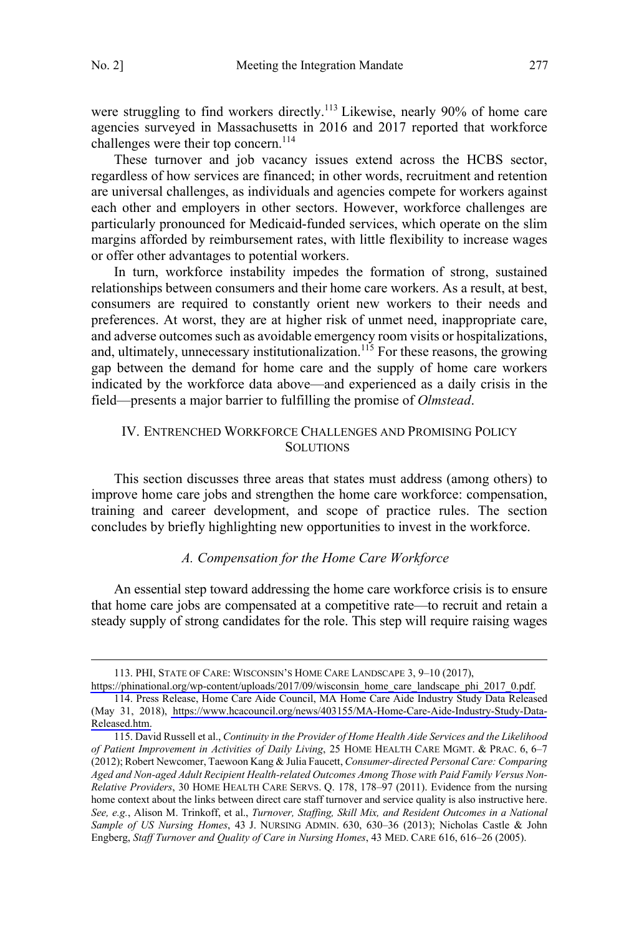$\overline{a}$ 

<span id="page-16-0"></span>were struggling to find workers directly.<sup>113</sup> Likewise, nearly 90% of home care agencies surveyed in Massachusetts in 2016 and 2017 reported that workforce challenges were their top concern.<sup>114</sup>

These turnover and job vacancy issues extend across the HCBS sector, regardless of how services are financed; in other words, recruitment and retention are universal challenges, as individuals and agencies compete for workers against each other and employers in other sectors. However, workforce challenges are particularly pronounced for Medicaid-funded services, which operate on the slim margins afforded by reimbursement rates, with little flexibility to increase wages or offer other advantages to potential workers.

In turn, workforce instability impedes the formation of strong, sustained relationships between consumers and their home care workers. As a result, at best, consumers are required to constantly orient new workers to their needs and preferences. At worst, they are at higher risk of unmet need, inappropriate care, and adverse outcomes such as avoidable emergency room visits or hospitalizations, and, ultimately, unnecessary institutionalization.<sup>115</sup> For these reasons, the growing gap between the demand for home care and the supply of home care workers indicated by the workforce data above—and experienced as a daily crisis in the field—presents a major barrier to fulfilling the promise of *Olmstead*.

## IV. ENTRENCHED WORKFORCE CHALLENGES AND PROMISING POLICY **SOLUTIONS**

This section discusses three areas that states must address (among others) to improve home care jobs and strengthen the home care workforce: compensation, training and career development, and scope of practice rules. The section concludes by briefly highlighting new opportunities to invest in the workforce.

## *A. Compensation for the Home Care Workforce*

An essential step toward addressing the home care workforce crisis is to ensure that home care jobs are compensated at a competitive rate—to recruit and retain a steady supply of strong candidates for the role. This step will require raising wages

PHI, STATE OF CARE: WISCONSIN'S HOME CARE LANDSCAPE 3, 9–10 (2017), 113.

[https://phinational.org/wp-content/uploads/2017/09/wisconsin\\_home\\_care\\_landscape\\_phi\\_2017\\_0.pdf.](https://phinational.org/wp-content/uploads/2017/09/wisconsin_home_care_landscape_phi_2017_0.pdf) 114. Press Release, Home Care Aide Council, MA Home Care Aide Industry Study Data Released

<sup>(</sup>May 31, 2018), [https://www.hcacouncil.org/news/403155/MA-Home-Care-Aide-Industry-Study-Data-](https://www.hcacouncil.org/news/403155/MA-Home-Care-Aide-Industry-Study-Data-Released.htm)[Released.htm.](https://www.hcacouncil.org/news/403155/MA-Home-Care-Aide-Industry-Study-Data-Released.htm)

<sup>115.</sup> David Russell et al., *Continuity in the Provider of Home Health Aide Services and the Likelihood of Patient Improvement in Activities of Daily Living*, 25 HOME HEALTH CARE MGMT. & PRAC. 6, 6–7 (2012); Robert Newcomer, Taewoon Kang & Julia Faucett, *Consumer-directed Personal Care: Comparing Aged and Non-aged Adult Recipient Health-related Outcomes Among Those with Paid Family Versus Non-Relative Providers*, 30 HOME HEALTH CARE SERVS. Q. 178, 178–97 (2011). Evidence from the nursing home context about the links between direct care staff turnover and service quality is also instructive here. *See, e.g.*, Alison M. Trinkoff, et al., *Turnover, Staffing, Skill Mix, and Resident Outcomes in a National Sample of US Nursing Homes*, 43 J. NURSING ADMIN. 630, 630–36 (2013); Nicholas Castle & John Engberg, *Staff Turnover and Quality of Care in Nursing Homes*, 43 MED. CARE 616, 616–26 (2005).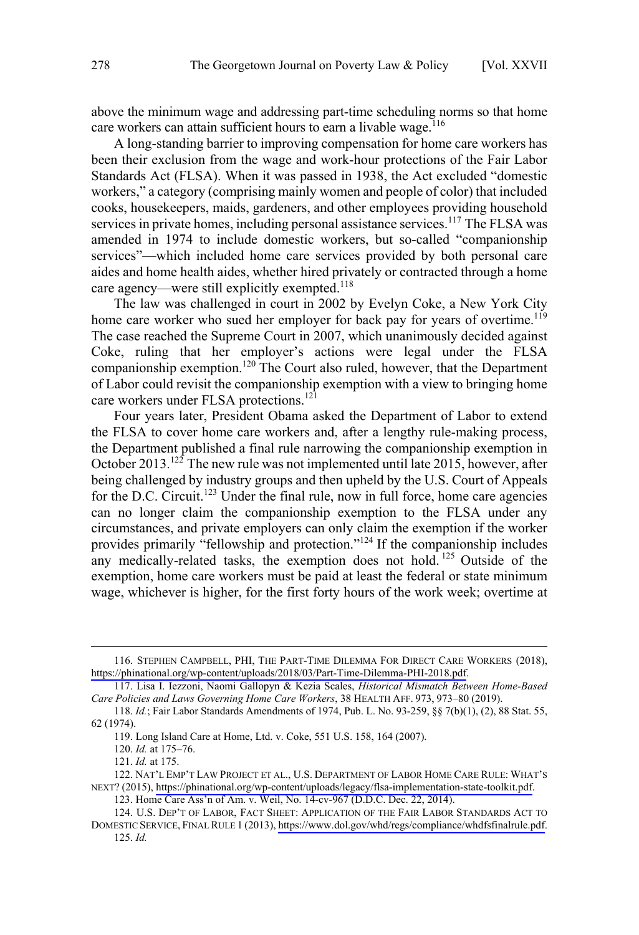above the minimum wage and addressing part-time scheduling norms so that home care workers can attain sufficient hours to earn a livable wage.<sup>116</sup>

A long-standing barrier to improving compensation for home care workers has been their exclusion from the wage and work-hour protections of the Fair Labor Standards Act (FLSA). When it was passed in 1938, the Act excluded "domestic workers," a category (comprising mainly women and people of color) that included cooks, housekeepers, maids, gardeners, and other employees providing household services in private homes, including personal assistance services.<sup>117</sup> The FLSA was amended in 1974 to include domestic workers, but so-called "companionship services"—which included home care services provided by both personal care aides and home health aides, whether hired privately or contracted through a home care agency—were still explicitly exempted.<sup>118</sup>

The law was challenged in court in 2002 by Evelyn Coke, a New York City home care worker who sued her employer for back pay for years of overtime.<sup>119</sup> The case reached the Supreme Court in 2007, which unanimously decided against Coke, ruling that her employer's actions were legal under the FLSA companionship exemption.<sup>120</sup> The Court also ruled, however, that the Department of Labor could revisit the companionship exemption with a view to bringing home care workers under FLSA protections.<sup>121</sup>

Four years later, President Obama asked the Department of Labor to extend the FLSA to cover home care workers and, after a lengthy rule-making process, the Department published a final rule narrowing the companionship exemption in October 2013.<sup>122</sup> The new rule was not implemented until late 2015, however, after being challenged by industry groups and then upheld by the U.S. Court of Appeals for the D.C. Circuit.<sup>123</sup> Under the final rule, now in full force, home care agencies can no longer claim the companionship exemption to the FLSA under any circumstances, and private employers can only claim the exemption if the worker provides primarily "fellowship and protection."<sup>124</sup> If the companionship includes any medically-related tasks, the exemption does not hold.<sup>125</sup> Outside of the exemption, home care workers must be paid at least the federal or state minimum wage, whichever is higher, for the first forty hours of the work week; overtime at

<sup>116.</sup> STEPHEN CAMPBELL, PHI, THE PART-TIME DILEMMA FOR DIRECT CARE WORKERS (2018), <https://phinational.org/wp-content/uploads/2018/03/Part-Time-Dilemma-PHI-2018.pdf>.

<sup>117.</sup> Lisa I. Iezzoni, Naomi Gallopyn & Kezia Scales, *Historical Mismatch Between Home-Based Care Policies and Laws Governing Home Care Workers*, 38 HEALTH AFF. 973, 973–80 (2019).

<sup>118.</sup> *Id.*; Fair Labor Standards Amendments of 1974, Pub. L. No. 93-259, §§ 7(b)(1), (2), 88 Stat. 55, 62 (1974).

<sup>119.</sup> Long Island Care at Home, Ltd. v. Coke, 551 U.S. 158, 164 (2007).

<sup>120.</sup> *Id.* at 175–76.

<sup>121.</sup> *Id.* at 175.

<sup>122.</sup> NAT'L EMP'T LAW PROJECT ET AL., U.S. DEPARTMENT OF LABOR HOME CARE RULE: WHAT'S NEXT? (2015),<https://phinational.org/wp-content/uploads/legacy/flsa-implementation-state-toolkit.pdf>.

<sup>123.</sup> Home Care Ass'n of Am. v. Weil, No. 14-cv-967 (D.D.C. Dec. 22, 2014).

<sup>124.</sup> U.S. DEP'T OF LABOR, FACT SHEET: APPLICATION OF THE FAIR LABOR STANDARDS ACT TO DOMESTIC SERVICE, FINAL RULE 1 (2013), [https://www.dol.gov/whd/regs/compliance/whdfsfinalrule.pdf.](https://www.dol.gov/whd/regs/compliance/whdfsfinalrule.pdf) 125. *Id.*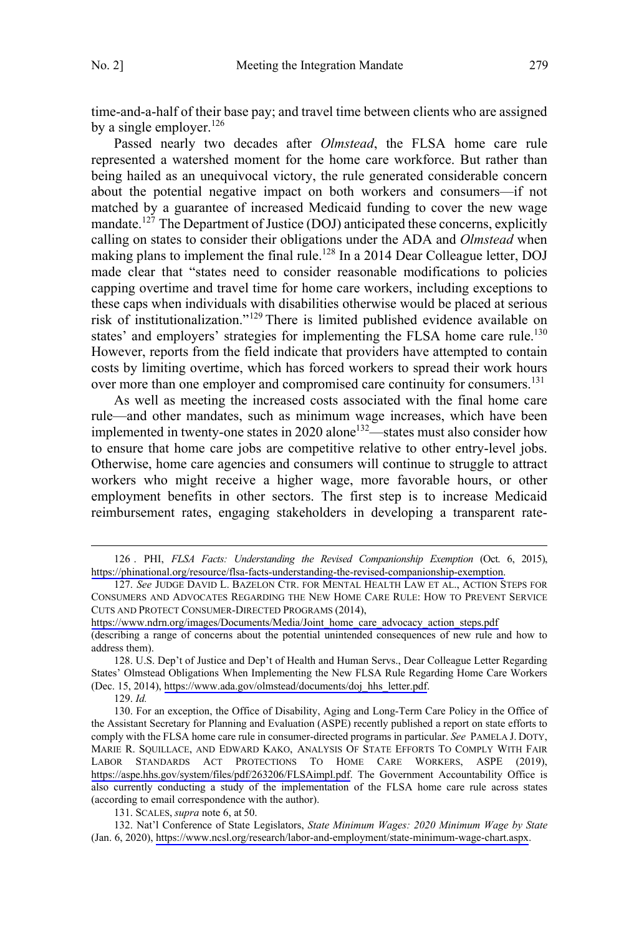time-and-a-half of their base pay; and travel time between clients who are assigned by a single employer.  $126$ 

Passed nearly two decades after *Olmstead*, the FLSA home care rule represented a watershed moment for the home care workforce. But rather than being hailed as an unequivocal victory, the rule generated considerable concern about the potential negative impact on both workers and consumers—if not matched by a guarantee of increased Medicaid funding to cover the new wage mandate.<sup>127</sup> The Department of Justice (DOJ) anticipated these concerns, explicitly calling on states to consider their obligations under the ADA and *Olmstead* when making plans to implement the final rule.<sup>128</sup> In a 2014 Dear Colleague letter, DOJ made clear that "states need to consider reasonable modifications to policies capping overtime and travel time for home care workers, including exceptions to these caps when individuals with disabilities otherwise would be placed at serious risk of institutionalization."129 There is limited published evidence available on states' and employers' strategies for implementing the FLSA home care rule.<sup>130</sup> However, reports from the field indicate that providers have attempted to contain costs by limiting overtime, which has forced workers to spread their work hours over more than one employer and compromised care continuity for consumers.<sup>131</sup>

As well as meeting the increased costs associated with the final home care rule—and other mandates, such as minimum wage increases, which have been implemented in twenty-one states in 2020 alone<sup>132</sup>—states must also consider how to ensure that home care jobs are competitive relative to other entry-level jobs. Otherwise, home care agencies and consumers will continue to struggle to attract workers who might receive a higher wage, more favorable hours, or other employment benefits in other sectors. The first step is to increase Medicaid reimbursement rates, engaging stakeholders in developing a transparent rate-

 $\overline{a}$ 

[https://www.ndrn.org/images/Documents/Media/Joint\\_home\\_care\\_advocacy\\_action\\_steps.pdf](https://www.ndrn.org/images/Documents/Media/Joint_home_care_advocacy_action_steps.pdf)

129. *Id.* 

131. SCALES, *supra* note 6, at 50.

132. Nat'l Conference of State Legislators, *State Minimum Wages: 2020 Minimum Wage by State* (Jan. 6, 2020), <https://www.ncsl.org/research/labor-and-employment/state-minimum-wage-chart.aspx>.

<sup>126 .</sup> PHI, *FLSA Facts: Understanding the Revised Companionship Exemption* (Oct. 6, 2015), <https://phinational.org/resource/flsa-facts-understanding-the-revised-companionship-exemption>.

<sup>127.</sup> See JUDGE DAVID L. BAZELON CTR. FOR MENTAL HEALTH LAW ET AL., ACTION STEPS FOR CONSUMERS AND ADVOCATES REGARDING THE NEW HOME CARE RULE: HOW TO PREVENT SERVICE CUTS AND PROTECT CONSUMER-DIRECTED PROGRAMS (2014),

<sup>(</sup>describing a range of concerns about the potential unintended consequences of new rule and how to address them).

<sup>128.</sup> U.S. Dep't of Justice and Dep't of Health and Human Servs., Dear Colleague Letter Regarding States' Olmstead Obligations When Implementing the New FLSA Rule Regarding Home Care Workers (Dec. 15, 2014), [https://www.ada.gov/olmstead/documents/doj\\_hhs\\_letter.pdf](https://www.ada.gov/olmstead/documents/doj_hhs_letter.pdf).

<sup>130.</sup> For an exception, the Office of Disability, Aging and Long-Term Care Policy in the Office of the Assistant Secretary for Planning and Evaluation (ASPE) recently published a report on state efforts to comply with the FLSA home care rule in consumer-directed programs in particular. *See* PAMELA J. DOTY, MARIE R. SQUILLACE, AND EDWARD KAKO, ANALYSIS OF STATE EFFORTS TO COMPLY WITH FAIR LABOR STANDARDS ACT PROTECTIONS TO HOME CARE WORKERS, ASPE (2019), <https://aspe.hhs.gov/system/files/pdf/263206/FLSAimpl.pdf>. The Government Accountability Office is also currently conducting a study of the implementation of the FLSA home care rule across states (according to email correspondence with the author).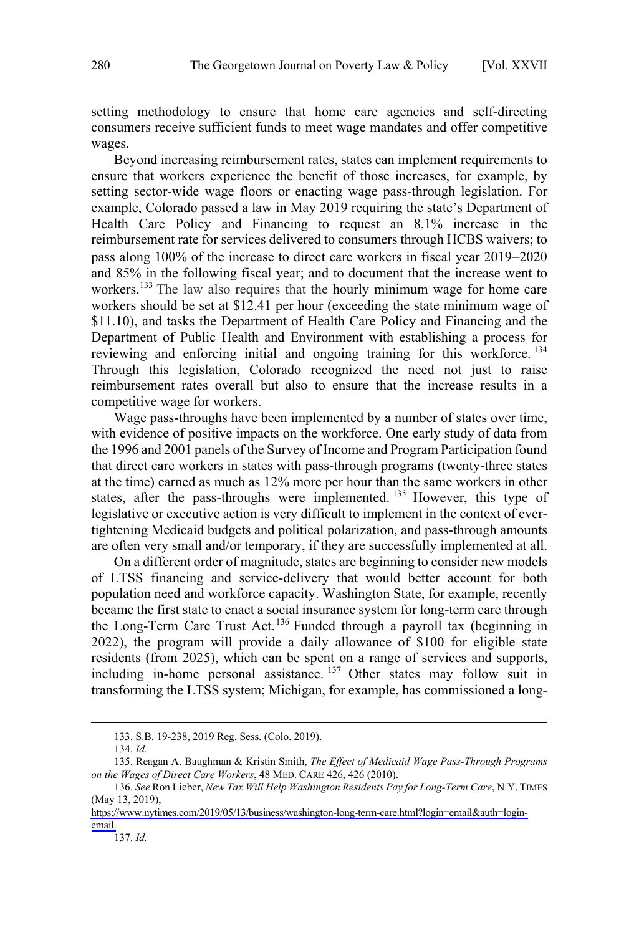setting methodology to ensure that home care agencies and self-directing consumers receive sufficient funds to meet wage mandates and offer competitive wages.

Beyond increasing reimbursement rates, states can implement requirements to ensure that workers experience the benefit of those increases, for example, by setting sector-wide wage floors or enacting wage pass-through legislation. For example, Colorado passed a law in May 2019 requiring the state's Department of Health Care Policy and Financing to request an 8.1% increase in the reimbursement rate for services delivered to consumers through HCBS waivers; to pass along 100% of the increase to direct care workers in fiscal year 2019–2020 and 85% in the following fiscal year; and to document that the increase went to workers.<sup>133</sup> The law also requires that the hourly minimum wage for home care workers should be set at \$12.41 per hour (exceeding the state minimum wage of \$11.10), and tasks the Department of Health Care Policy and Financing and the Department of Public Health and Environment with establishing a process for reviewing and enforcing initial and ongoing training for this workforce.  $^{134}$ Through this legislation, Colorado recognized the need not just to raise reimbursement rates overall but also to ensure that the increase results in a competitive wage for workers.

Wage pass-throughs have been implemented by a number of states over time, with evidence of positive impacts on the workforce. One early study of data from the 1996 and 2001 panels of the Survey of Income and Program Participation found that direct care workers in states with pass-through programs (twenty-three states at the time) earned as much as 12% more per hour than the same workers in other states, after the pass-throughs were implemented.<sup>135</sup> However, this type of legislative or executive action is very difficult to implement in the context of evertightening Medicaid budgets and political polarization, and pass-through amounts are often very small and/or temporary, if they are successfully implemented at all.

On a different order of magnitude, states are beginning to consider new models of LTSS financing and service-delivery that would better account for both population need and workforce capacity. Washington State, for example, recently became the first state to enact a social insurance system for long-term care through the Long-Term Care Trust Act.<sup>136</sup> Funded through a payroll tax (beginning in 2022), the program will provide a daily allowance of \$100 for eligible state residents (from 2025), which can be spent on a range of services and supports, including in-home personal assistance. <sup>137</sup> Other states may follow suit in transforming the LTSS system; Michigan, for example, has commissioned a long-

134. *Id.*

 $\overline{a}$ 

 $\overline{a}$ 

137. *Id.* 

<sup>133.</sup> S.B. 19-238, 2019 Reg. Sess. (Colo. 2019).

<sup>135.</sup> Reagan A. Baughman & Kristin Smith, *The Effect of Medicaid Wage Pass-Through Programs on the Wages of Direct Care Workers*, 48 MED. CARE 426, 426 (2010).

*See* Ron Lieber, *New Tax Will Help Washington Residents Pay for Long-Term Care*, N.Y. TIMES 136. (May 13, 2019),

[https://www.nytimes.com/2019/05/13/business/washington-long-term-care.html?login=email&auth=login](https://www.nytimes.com/2019/05/13/business/washington-long-term-care.html?login=email&auth=login-email)[email.](https://www.nytimes.com/2019/05/13/business/washington-long-term-care.html?login=email&auth=login-email)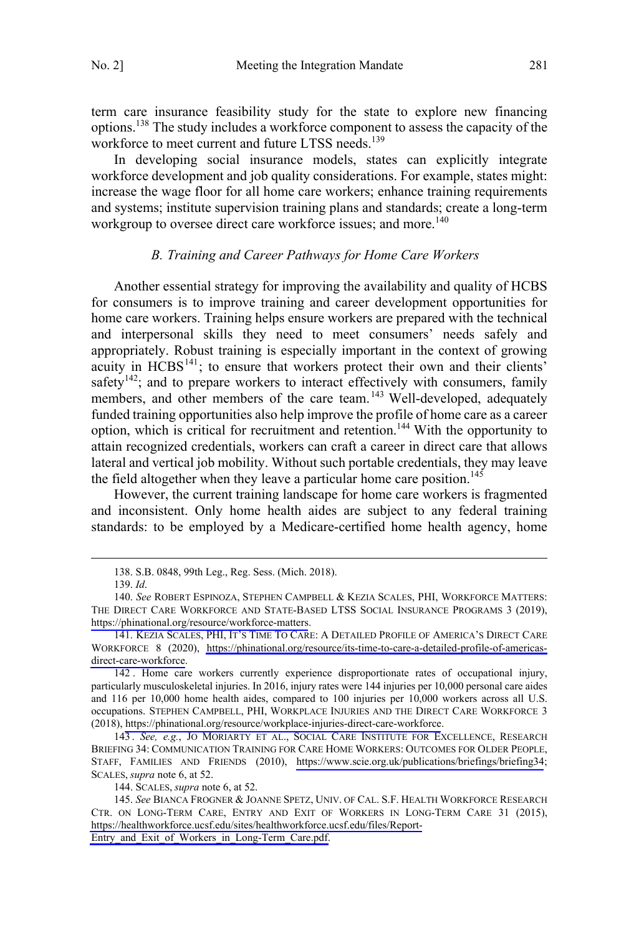<span id="page-20-0"></span>term care insurance feasibility study for the state to explore new financing options.138 The study includes a workforce component to assess the capacity of the workforce to meet current and future LTSS needs.<sup>139</sup>

In developing social insurance models, states can explicitly integrate workforce development and job quality considerations. For example, states might: increase the wage floor for all home care workers; enhance training requirements and systems; institute supervision training plans and standards; create a long-term workgroup to oversee direct care workforce issues; and more.<sup>140</sup>

#### *B. Training and Career Pathways for Home Care Workers*

Another essential strategy for improving the availability and quality of HCBS for consumers is to improve training and career development opportunities for home care workers. Training helps ensure workers are prepared with the technical and interpersonal skills they need to meet consumers' needs safely and appropriately. Robust training is especially important in the context of growing acuity in HCBS<sup>141</sup>; to ensure that workers protect their own and their clients' safety<sup>142</sup>; and to prepare workers to interact effectively with consumers, family members, and other members of the care team.<sup>143</sup> Well-developed, adequately funded training opportunities also help improve the profile of home care as a career option, which is critical for recruitment and retention.144 With the opportunity to attain recognized credentials, workers can craft a career in direct care that allows lateral and vertical job mobility. Without such portable credentials, they may leave the field altogether when they leave a particular home care position.<sup>145</sup>

However, the current training landscape for home care workers is fragmented and inconsistent. Only home health aides are subject to any federal training standards: to be employed by a Medicare-certified home health agency, home

 <sup>138.</sup> S.B. 0848, 99th Leg., Reg. Sess. (Mich. 2018).

<sup>139.</sup> *Id*.

<sup>140.</sup> See ROBERT ESPINOZA, STEPHEN CAMPBELL & KEZIA SCALES, PHI, WORKFORCE MATTERS: THE DIRECT CARE WORKFORCE AND STATE-BASED LTSS SOCIAL INSURANCE PROGRAMS 3 (2019), <https://phinational.org/resource/workforce-matters>.

<sup>141.</sup> KEZIA SCALES, PHI, IT'S TIME TO CARE: A DETAILED PROFILE OF AMERICA'S DIRECT CARE WORKFORCE 8 (2020), [https://phinational.org/resource/its-time-to-care-a-detailed-profile-of-americas](https://phinational.org/resource/its-time-to-care-a-detailed-profile-of-americas-direct-care-workforce)[direct-care-workforce](https://phinational.org/resource/its-time-to-care-a-detailed-profile-of-americas-direct-care-workforce).

<sup>142.</sup> Home care workers currently experience disproportionate rates of occupational injury, particularly musculoskeletal injuries. In 2016, injury rates were 144 injuries per 10,000 personal care aides and 116 per 10,000 home health aides, compared to 100 injuries per 10,000 workers across all U.S. occupations. STEPHEN CAMPBELL, PHI, WORKPLACE INJURIES AND THE DIRECT CARE WORKFORCE 3 (2018), <https://phinational.org/resource/workplace-injuries-direct-care-workforce>.

<sup>143.</sup> See, e.g., JO MORIARTY ET AL., SOCIAL CARE INSTITUTE FOR EXCELLENCE, RESEARCH BRIEFING 34: COMMUNICATION TRAINING FOR CARE HOME WORKERS: OUTCOMES FOR OLDER PEOPLE, STAFF, FAMILIES AND FRIENDS (2010), <https://www.scie.org.uk/publications/briefings/briefing34>; SCALES, *supra* note 6, at 52.

<sup>144.</sup> SCALES, *supra* note 6, at 52.

<sup>145.</sup> See BIANCA FROGNER & JOANNE SPETZ, UNIV. OF CAL. S.F. HEALTH WORKFORCE RESEARCH CTR. ON LONG-TERM CARE, ENTRY AND EXIT OF WORKERS IN LONG-TERM CARE 31 (2015), [https://healthworkforce.ucsf.edu/sites/healthworkforce.ucsf.edu/files/Report-](https://healthworkforce.ucsf.edu/sites/healthworkforce.ucsf.edu/files/Report-Entry_and_Exit_of_Workers_in_Long-Term_Care.pdf)

[Entry\\_and\\_Exit\\_of\\_Workers\\_in\\_Long-Term\\_Care.pdf.](https://healthworkforce.ucsf.edu/sites/healthworkforce.ucsf.edu/files/Report-Entry_and_Exit_of_Workers_in_Long-Term_Care.pdf)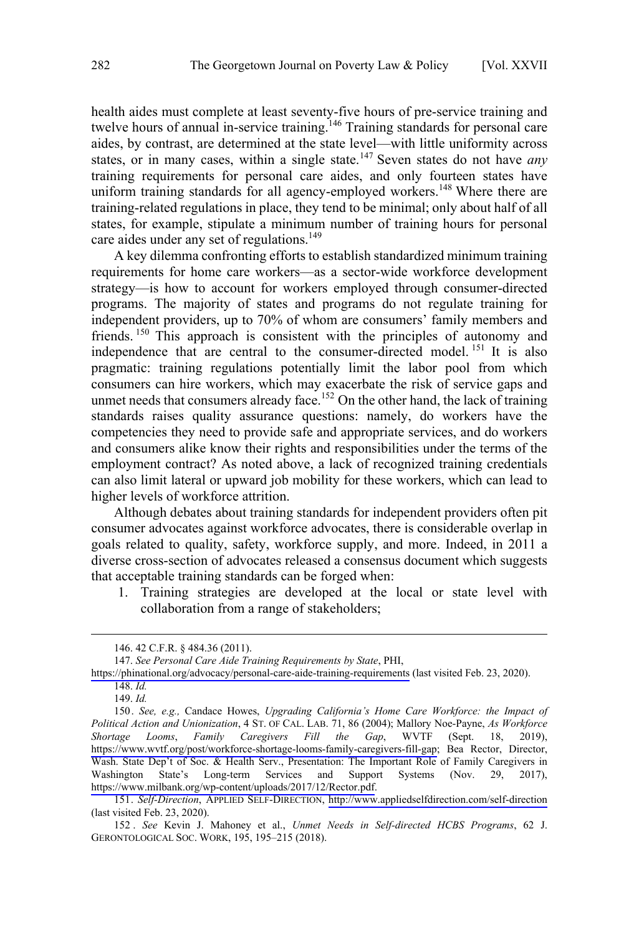health aides must complete at least seventy-five hours of pre-service training and twelve hours of annual in-service training.<sup>146</sup> Training standards for personal care aides, by contrast, are determined at the state level—with little uniformity across states, or in many cases, within a single state.<sup>147</sup> Seven states do not have *any* training requirements for personal care aides, and only fourteen states have uniform training standards for all agency-employed workers.<sup>148</sup> Where there are training-related regulations in place, they tend to be minimal; only about half of all states, for example, stipulate a minimum number of training hours for personal care aides under any set of regulations.<sup>149</sup>

A key dilemma confronting efforts to establish standardized minimum training requirements for home care workers—as a sector-wide workforce development strategy—is how to account for workers employed through consumer-directed programs. The majority of states and programs do not regulate training for independent providers, up to 70% of whom are consumers' family members and friends.<sup>150</sup> This approach is consistent with the principles of autonomy and independence that are central to the consumer-directed model.<sup>151</sup> It is also pragmatic: training regulations potentially limit the labor pool from which consumers can hire workers, which may exacerbate the risk of service gaps and unmet needs that consumers already face.<sup>152</sup> On the other hand, the lack of training standards raises quality assurance questions: namely, do workers have the competencies they need to provide safe and appropriate services, and do workers and consumers alike know their rights and responsibilities under the terms of the employment contract? As noted above, a lack of recognized training credentials can also limit lateral or upward job mobility for these workers, which can lead to higher levels of workforce attrition.

Although debates about training standards for independent providers often pit consumer advocates against workforce advocates, there is considerable overlap in goals related to quality, safety, workforce supply, and more. Indeed, in 2011 a diverse cross-section of advocates released a consensus document which suggests that acceptable training standards can be forged when:

1. Training strategies are developed at the local or state level with collaboration from a range of stakeholders;

 <sup>146. 42</sup> C.F.R. § 484.36 (2011).

*See Personal Care Aide Training Requirements by State*, PHI, 147.

<https://phinational.org/advocacy/personal-care-aide-training-requirements> (last visited Feb. 23, 2020). 148. *Id.*

<sup>149.</sup> *Id.*

<sup>150.</sup> See, e.g., Candace Howes, *Upgrading California's Home Care Workforce: the Impact of Political Action and Unionization*, 4 ST. OF CAL. LAB. 71, 86 (2004); Mallory Noe-Payne, *As Workforce Shortage Looms*, *Family Caregivers Fill the Gap*, WVTF (Sept. 18, 2019), [https://www.wvtf.org/post/workforce-shortage-looms-family-caregivers-fill-gap;](https://www.wvtf.org/post/workforce-shortage-looms-family-caregivers-fill-gap) Bea Rector, Director, Wash. State Dep't of Soc. & Health Serv., Presentation: The Important Role of Family Caregivers in Washington State's Long-term Services and Support Systems (Nov. 29, 2017), <https://www.milbank.org/wp-content/uploads/2017/12/Rector.pdf>.

<sup>151.</sup> *Self-Direction*, APPLIED SELF-DIRECTION, <http://www.appliedselfdirection.com/self-direction> (last visited Feb. 23, 2020).

<sup>152 .</sup> *See* Kevin J. Mahoney et al., *Unmet Needs in Self-directed HCBS Programs*, 62 J. GERONTOLOGICAL SOC. WORK, 195, 195–215 (2018).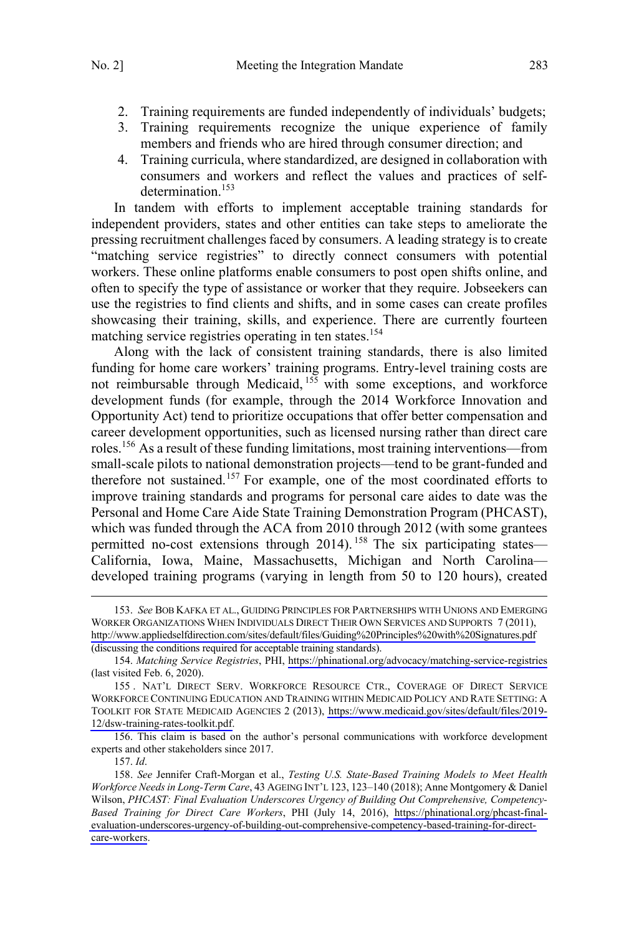- 2. Training requirements are funded independently of individuals' budgets;
- 3. Training requirements recognize the unique experience of family members and friends who are hired through consumer direction; and
- 4. Training curricula, where standardized, are designed in collaboration with consumers and workers and reflect the values and practices of selfdetermination.<sup>153</sup>

In tandem with efforts to implement acceptable training standards for independent providers, states and other entities can take steps to ameliorate the pressing recruitment challenges faced by consumers. A leading strategy is to create "matching service registries" to directly connect consumers with potential workers. These online platforms enable consumers to post open shifts online, and often to specify the type of assistance or worker that they require. Jobseekers can use the registries to find clients and shifts, and in some cases can create profiles showcasing their training, skills, and experience. There are currently fourteen matching service registries operating in ten states.<sup>154</sup>

Along with the lack of consistent training standards, there is also limited funding for home care workers' training programs. Entry-level training costs are not reimbursable through Medicaid, <sup>155</sup> with some exceptions, and workforce development funds (for example, through the 2014 Workforce Innovation and Opportunity Act) tend to prioritize occupations that offer better compensation and career development opportunities, such as licensed nursing rather than direct care roles.<sup>156</sup> As a result of these funding limitations, most training interventions—from small-scale pilots to national demonstration projects—tend to be grant-funded and therefore not sustained.<sup>157</sup> For example, one of the most coordinated efforts to improve training standards and programs for personal care aides to date was the Personal and Home Care Aide State Training Demonstration Program (PHCAST), which was funded through the ACA from 2010 through 2012 (with some grantees permitted no-cost extensions through 2014).<sup>158</sup> The six participating states— California, Iowa, Maine, Massachusetts, Michigan and North Carolina developed training programs (varying in length from 50 to 120 hours), created

<sup>153.</sup> See BOB KAFKA ET AL., GUIDING PRINCIPLES FOR PARTNERSHIPS WITH UNIONS AND EMERGING WORKER ORGANIZATIONS WHEN INDIVIDUALS DIRECT THEIR OWN SERVICES AND SUPPORTS 7 (2011), <http://www.appliedselfdirection.com/sites/default/files/Guiding%20Principles%20with%20Signatures.pdf> (discussing the conditions required for acceptable training standards).

*Matching Service Registries*, PHI, <https://phinational.org/advocacy/matching-service-registries> 154. (last visited Feb. 6, 2020).

<sup>155.</sup> NAT'L DIRECT SERV. WORKFORCE RESOURCE CTR., COVERAGE OF DIRECT SERVICE WORKFORCE CONTINUING EDUCATION AND TRAINING WITHIN MEDICAID POLICY AND RATE SETTING: A TOOLKIT FOR STATE MEDICAID AGENCIES 2 (2013), [https://www.medicaid.gov/sites/default/files/2019-](https://www.medicaid.gov/sites/default/files/2019-12/dsw-training-rates-toolkit.pdf) [12/dsw-training-rates-toolkit.pdf](https://www.medicaid.gov/sites/default/files/2019-12/dsw-training-rates-toolkit.pdf).

<sup>156.</sup> This claim is based on the author's personal communications with workforce development experts and other stakeholders since 2017.

<sup>157.</sup> *Id*.

*See* Jennifer Craft-Morgan et al., *Testing U.S. State-Based Training Models to Meet Health*  158. *Workforce Needs in Long-Term Care*, 43 AGEING INT'L 123, 123–140 (2018); Anne Montgomery & Daniel Wilson, *PHCAST: Final Evaluation Underscores Urgency of Building Out Comprehensive, Competency-Based Training for Direct Care Workers*, PHI (July 14, 2016), [https://phinational.org/phcast-final](https://phinational.org/phcast-final-evaluation-underscores-urgency-of-building-out-comprehensive-competency-based-training-for-direct-care-workers)[evaluation-underscores-urgency-of-building-out-comprehensive-competency-based-training-for-direct](https://phinational.org/phcast-final-evaluation-underscores-urgency-of-building-out-comprehensive-competency-based-training-for-direct-care-workers)[care-workers](https://phinational.org/phcast-final-evaluation-underscores-urgency-of-building-out-comprehensive-competency-based-training-for-direct-care-workers).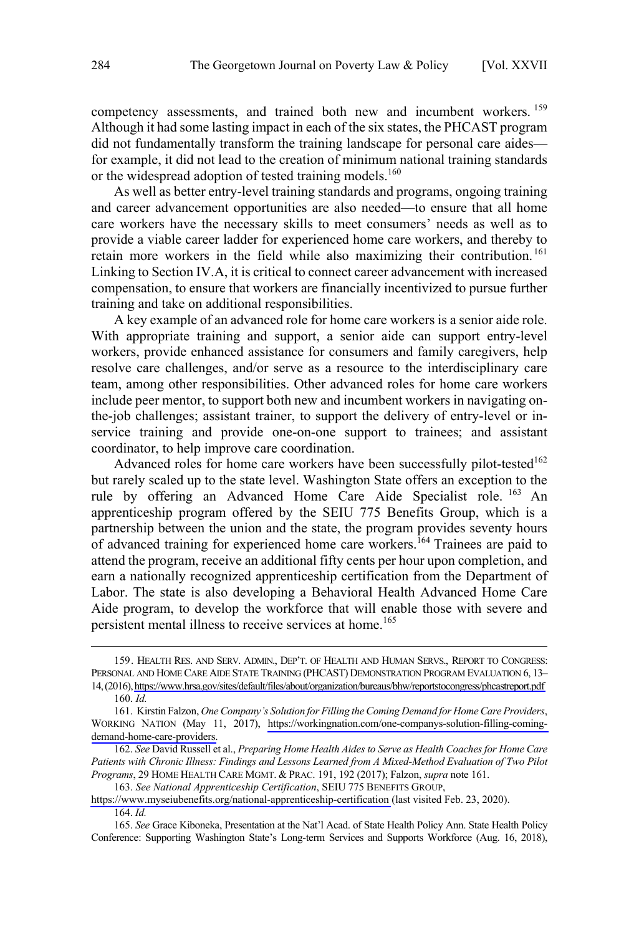competency assessments, and trained both new and incumbent workers. <sup>159</sup> Although it had some lasting impact in each of the six states, the PHCAST program did not fundamentally transform the training landscape for personal care aides for example, it did not lead to the creation of minimum national training standards or the widespread adoption of tested training models.<sup>160</sup>

As well as better entry-level training standards and programs, ongoing training and career advancement opportunities are also needed—to ensure that all home care workers have the necessary skills to meet consumers' needs as well as to provide a viable career ladder for experienced home care workers, and thereby to retain more workers in the field while also maximizing their contribution.<sup>161</sup> Linking to Section IV.A, it is critical to connect career advancement with increased compensation, to ensure that workers are financially incentivized to pursue further training and take on additional responsibilities.

A key example of an advanced role for home care workers is a senior aide role. With appropriate training and support, a senior aide can support entry-level workers, provide enhanced assistance for consumers and family caregivers, help resolve care challenges, and/or serve as a resource to the interdisciplinary care team, among other responsibilities. Other advanced roles for home care workers include peer mentor, to support both new and incumbent workers in navigating onthe-job challenges; assistant trainer, to support the delivery of entry-level or inservice training and provide one-on-one support to trainees; and assistant coordinator, to help improve care coordination.

Advanced roles for home care workers have been successfully pilot-tested<sup>162</sup> but rarely scaled up to the state level. Washington State offers an exception to the rule by offering an Advanced Home Care Aide Specialist role.<sup>163</sup> An apprenticeship program offered by the SEIU 775 Benefits Group, which is a partnership between the union and the state, the program provides seventy hours of advanced training for experienced home care workers.<sup>164</sup> Trainees are paid to attend the program, receive an additional fifty cents per hour upon completion, and earn a nationally recognized apprenticeship certification from the Department of Labor. The state is also developing a Behavioral Health Advanced Home Care Aide program, to develop the workforce that will enable those with severe and persistent mental illness to receive services at home.<sup>165</sup>

<sup>159.</sup> HEALTH RES. AND SERV. ADMIN., DEP'T. OF HEALTH AND HUMAN SERVS., REPORT TO CONGRESS: PERSONAL AND HOME CARE AIDE STATE TRAINING (PHCAST) DEMONSTRATION PROGRAM EVALUATION 6, 13– 14,(2016),<https://www.hrsa.gov/sites/default/files/about/organization/bureaus/bhw/reportstocongress/phcastreport.pdf> 160. *Id.*

<sup>161.</sup> Kirstin Falzon, *One Company's Solution for Filling the Coming Demand for Home Care Providers*, WORKING NATION (May 11, 2017), [https://workingnation.com/one-companys-solution-filling-coming](https://workingnation.com/one-companys-solution-filling-coming-demand-home-care-providers)[demand-home-care-providers.](https://workingnation.com/one-companys-solution-filling-coming-demand-home-care-providers)

<sup>162.</sup> *See* David Russell et al., *Preparing Home Health Aides to Serve as Health Coaches for Home Care Patients with Chronic Illness: Findings and Lessons Learned from A Mixed-Method Evaluation of Two Pilot Programs*, 29 HOME HEALTH CARE MGMT. & PRAC. 191, 192 (2017); Falzon, *supra* note 161.

*See National Apprenticeship Certification*, SEIU 775 BENEFITS GROUP, 163.

<https://www.myseiubenefits.org/national-apprenticeship-certification>(last visited Feb. 23, 2020). 164. *Id.* 

*See* Grace Kiboneka, Presentation at the Nat'l Acad. of State Health Policy Ann. State Health Policy 165. Conference: Supporting Washington State's Long-term Services and Supports Workforce (Aug. 16, 2018),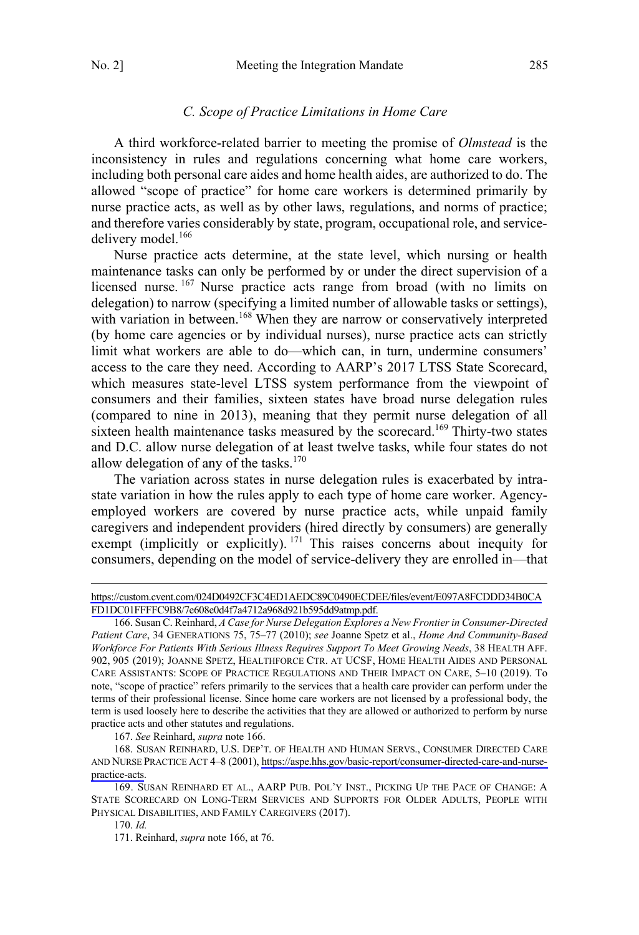#### *C. Scope of Practice Limitations in Home Care*

<span id="page-24-0"></span>A third workforce-related barrier to meeting the promise of *Olmstead* is the inconsistency in rules and regulations concerning what home care workers, including both personal care aides and home health aides, are authorized to do. The allowed "scope of practice" for home care workers is determined primarily by nurse practice acts, as well as by other laws, regulations, and norms of practice; and therefore varies considerably by state, program, occupational role, and servicedelivery model.<sup>166</sup>

Nurse practice acts determine, at the state level, which nursing or health maintenance tasks can only be performed by or under the direct supervision of a licensed nurse. <sup>167</sup> Nurse practice acts range from broad (with no limits on delegation) to narrow (specifying a limited number of allowable tasks or settings), with variation in between.<sup>168</sup> When they are narrow or conservatively interpreted (by home care agencies or by individual nurses), nurse practice acts can strictly limit what workers are able to do—which can, in turn, undermine consumers' access to the care they need. According to AARP's 2017 LTSS State Scorecard, which measures state-level LTSS system performance from the viewpoint of consumers and their families, sixteen states have broad nurse delegation rules (compared to nine in 2013), meaning that they permit nurse delegation of all sixteen health maintenance tasks measured by the scorecard.<sup>169</sup> Thirty-two states and D.C. allow nurse delegation of at least twelve tasks, while four states do not allow delegation of any of the tasks. $170$ 

The variation across states in nurse delegation rules is exacerbated by intrastate variation in how the rules apply to each type of home care worker. Agencyemployed workers are covered by nurse practice acts, while unpaid family caregivers and independent providers (hired directly by consumers) are generally exempt (implicitly or explicitly).  $171$  This raises concerns about inequity for consumers, depending on the model of service-delivery they are enrolled in—that

167. *See* Reinhard, *supra* note 166.

168. SUSAN REINHARD, U.S. DEP'T. OF HEALTH AND HUMAN SERVS., CONSUMER DIRECTED CARE AND NURSE PRACTICE ACT 4–8 (2001), [https://aspe.hhs.gov/basic-report/consumer-directed-care-and-nurse](https://aspe.hhs.gov/basic-report/consumer-directed-care-and-nurse-practice-acts)[practice-acts.](https://aspe.hhs.gov/basic-report/consumer-directed-care-and-nurse-practice-acts)

170. *Id.*

[https://custom.cvent.com/024D0492CF3C4ED1AEDC89C0490ECDEE/files/event/E097A8FCDDD34B0CA](https://custom.cvent.com/024D0492CF3C4ED1AEDC89C0490ECDEE/files/event/E097A8FCDDD34B0CAFD1DC01FFFFC9B8/7e608e0d4f7a4712a968d921b595dd9atmp.pdf) [FD1DC01FFFFC9B8/7e608e0d4f7a4712a968d921b595dd9atmp.pdf.](https://custom.cvent.com/024D0492CF3C4ED1AEDC89C0490ECDEE/files/event/E097A8FCDDD34B0CAFD1DC01FFFFC9B8/7e608e0d4f7a4712a968d921b595dd9atmp.pdf)

<sup>166.</sup> Susan C. Reinhard, *A Case for Nurse Delegation Explores a New Frontier in Consumer-Directed Patient Care*, 34 GENERATIONS 75, 75–77 (2010); *see* Joanne Spetz et al., *Home And Community-Based Workforce For Patients With Serious Illness Requires Support To Meet Growing Needs*, 38 HEALTH AFF. 902, 905 (2019); JOANNE SPETZ, HEALTHFORCE CTR. AT UCSF, HOME HEALTH AIDES AND PERSONAL CARE ASSISTANTS: SCOPE OF PRACTICE REGULATIONS AND THEIR IMPACT ON CARE, 5–10 (2019). To note, "scope of practice" refers primarily to the services that a health care provider can perform under the terms of their professional license. Since home care workers are not licensed by a professional body, the term is used loosely here to describe the activities that they are allowed or authorized to perform by nurse practice acts and other statutes and regulations.

<sup>169.</sup> SUSAN REINHARD ET AL., AARP PUB. POL'Y INST., PICKING UP THE PACE OF CHANGE: A STATE SCORECARD ON LONG-TERM SERVICES AND SUPPORTS FOR OLDER ADULTS, PEOPLE WITH PHYSICAL DISABILITIES, AND FAMILY CAREGIVERS (2017).

<sup>171.</sup> Reinhard, *supra* note 166, at 76.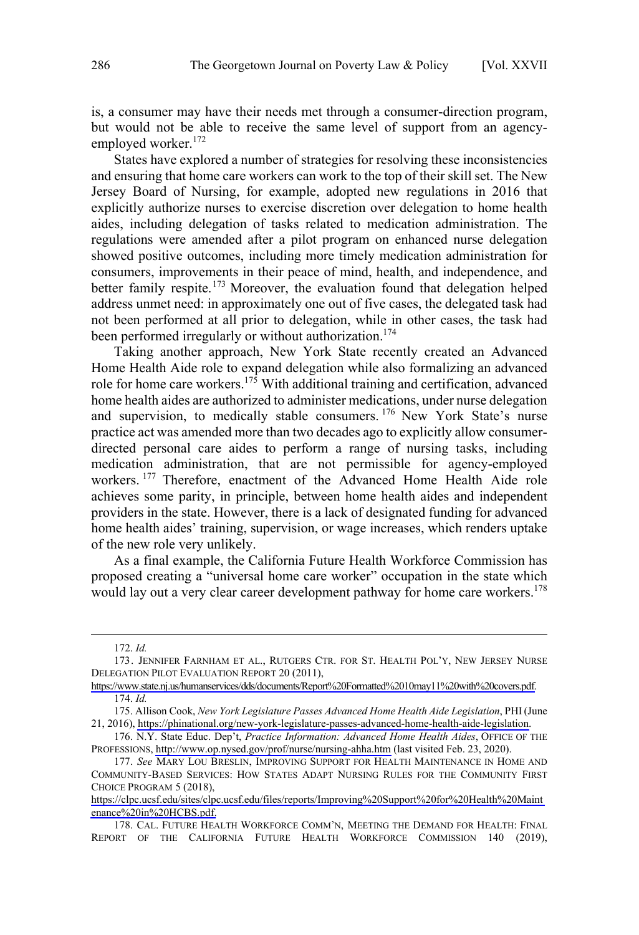is, a consumer may have their needs met through a consumer-direction program, but would not be able to receive the same level of support from an agencyemployed worker.<sup>172</sup>

States have explored a number of strategies for resolving these inconsistencies and ensuring that home care workers can work to the top of their skill set. The New Jersey Board of Nursing, for example, adopted new regulations in 2016 that explicitly authorize nurses to exercise discretion over delegation to home health aides, including delegation of tasks related to medication administration. The regulations were amended after a pilot program on enhanced nurse delegation showed positive outcomes, including more timely medication administration for consumers, improvements in their peace of mind, health, and independence, and better family respite.<sup>173</sup> Moreover, the evaluation found that delegation helped address unmet need: in approximately one out of five cases, the delegated task had not been performed at all prior to delegation, while in other cases, the task had been performed irregularly or without authorization.<sup>174</sup>

Taking another approach, New York State recently created an Advanced Home Health Aide role to expand delegation while also formalizing an advanced role for home care workers.<sup>175</sup> With additional training and certification, advanced home health aides are authorized to administer medications, under nurse delegation and supervision, to medically stable consumers.<sup>176</sup> New York State's nurse practice act was amended more than two decades ago to explicitly allow consumerdirected personal care aides to perform a range of nursing tasks, including medication administration, that are not permissible for agency-employed workers. <sup>177</sup> Therefore, enactment of the Advanced Home Health Aide role achieves some parity, in principle, between home health aides and independent providers in the state. However, there is a lack of designated funding for advanced home health aides' training, supervision, or wage increases, which renders uptake of the new role very unlikely.

As a final example, the California Future Health Workforce Commission has proposed creating a "universal home care worker" occupation in the state which would lay out a very clear career development pathway for home care workers.<sup>178</sup>

<sup>172.</sup> *Id.*

<sup>173.</sup> JENNIFER FARNHAM ET AL., RUTGERS CTR. FOR ST. HEALTH POL'Y, NEW JERSEY NURSE DELEGATION PILOT EVALUATION REPORT 20 (2011),

[https://www.state.nj.us/humanservices/dds/documents/Report%20Formatted%2010may11%20with%20covers.pdf.](https://www.state.nj.us/humanservices/dds/documents/Report%20Formatted%2010may11%20with%20covers.pdf) 174. *Id.*

Allison Cook, *New York Legislature Passes Advanced Home Health Aide Legislation*, PHI (June 175. 21, 2016), [https://phinational.org/new-york-legislature-passes-advanced-home-health-aide-legislation.](https://phinational.org/new-york-legislature-passes-advanced-home-health-aide-legislation)

<sup>176.</sup> N.Y. State Educ. Dep't, *Practice Information: Advanced Home Health Aides*, OFFICE OF THE PROFESSIONS, <http://www.op.nysed.gov/prof/nurse/nursing-ahha.htm>(last visited Feb. 23, 2020).

<sup>177.</sup> See MARY LOU BRESLIN, IMPROVING SUPPORT FOR HEALTH MAINTENANCE IN HOME AND COMMUNITY-BASED SERVICES: HOW STATES ADAPT NURSING RULES FOR THE COMMUNITY FIRST CHOICE PROGRAM 5 (2018),

[https://clpc.ucsf.edu/sites/clpc.ucsf.edu/files/reports/Improving%20Support%20for%20Health%20Maint](https://clpc.ucsf.edu/sites/clpc.ucsf.edu/files/reports/Improving%20Support%20for%20Health%20Maintenance%20in%20HCBS.pdf) [enance%20in%20HCBS.pdf.](https://clpc.ucsf.edu/sites/clpc.ucsf.edu/files/reports/Improving%20Support%20for%20Health%20Maintenance%20in%20HCBS.pdf)

<sup>178.</sup> CAL. FUTURE HEALTH WORKFORCE COMM'N, MEETING THE DEMAND FOR HEALTH: FINAL REPORT OF THE CALIFORNIA FUTURE HEALTH WORKFORCE COMMISSION 140 (2019),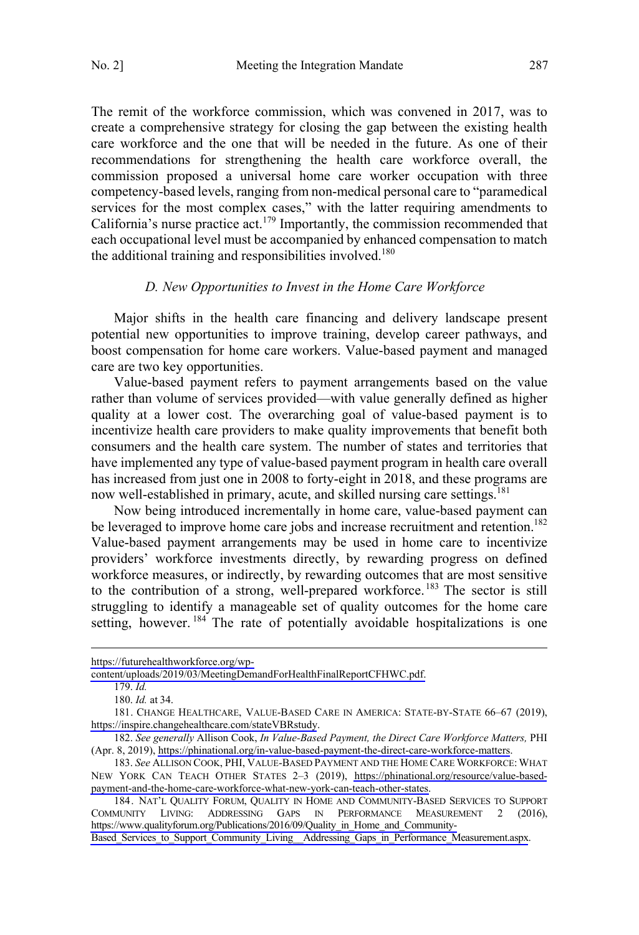<span id="page-26-0"></span>The remit of the workforce commission, which was convened in 2017, was to create a comprehensive strategy for closing the gap between the existing health care workforce and the one that will be needed in the future. As one of their recommendations for strengthening the health care workforce overall, the commission proposed a universal home care worker occupation with three competency-based levels, ranging from non-medical personal care to "paramedical services for the most complex cases," with the latter requiring amendments to California's nurse practice act.<sup>179</sup> Importantly, the commission recommended that each occupational level must be accompanied by enhanced compensation to match the additional training and responsibilities involved.<sup>180</sup>

#### *D. New Opportunities to Invest in the Home Care Workforce*

Major shifts in the health care financing and delivery landscape present potential new opportunities to improve training, develop career pathways, and boost compensation for home care workers. Value-based payment and managed care are two key opportunities.

Value-based payment refers to payment arrangements based on the value rather than volume of services provided—with value generally defined as higher quality at a lower cost. The overarching goal of value-based payment is to incentivize health care providers to make quality improvements that benefit both consumers and the health care system. The number of states and territories that have implemented any type of value-based payment program in health care overall has increased from just one in 2008 to forty-eight in 2018, and these programs are now well-established in primary, acute, and skilled nursing care settings.<sup>181</sup>

Now being introduced incrementally in home care, value-based payment can be leveraged to improve home care jobs and increase recruitment and retention.<sup>182</sup> Value-based payment arrangements may be used in home care to incentivize providers' workforce investments directly, by rewarding progress on defined workforce measures, or indirectly, by rewarding outcomes that are most sensitive to the contribution of a strong, well-prepared workforce.<sup>183</sup> The sector is still struggling to identify a manageable set of quality outcomes for the home care setting, however.<sup>184</sup> The rate of potentially avoidable hospitalizations is one

[https://futurehealthworkforce.org/wp-](https://futurehealthworkforce.org/wp-content/uploads/2019/03/MeetingDemandForHealthFinalReportCFHWC.pdf)

[content/uploads/2019/03/MeetingDemandForHealthFinalReportCFHWC.pdf.](https://futurehealthworkforce.org/wp-content/uploads/2019/03/MeetingDemandForHealthFinalReportCFHWC.pdf)

<sup>179.</sup> *Id.*

<sup>180.</sup> *Id.* at 34.

<sup>181.</sup> CHANGE HEALTHCARE, VALUE-BASED CARE IN AMERICA: STATE-BY-STATE 66–67 (2019), <https://inspire.changehealthcare.com/stateVBRstudy>.

<sup>182.</sup> See generally Allison Cook, *In Value-Based Payment, the Direct Care Workforce Matters*, PHI (Apr. 8, 2019), [https://phinational.org/in-value-based-payment-the-direct-care-workforce-matters.](https://phinational.org/in-value-based-payment-the-direct-care-workforce-matters)

<sup>183.</sup> See ALLISON COOK, PHI, VALUE-BASED PAYMENT AND THE HOME CARE WORKFORCE: WHAT NEW YORK CAN TEACH OTHER STATES 2–3 (2019), [https://phinational.org/resource/value-based](https://phinational.org/resource/value-based-payment-and-the-home-care-workforce-what-new-york-can-teach-other-states)[payment-and-the-home-care-workforce-what-new-york-can-teach-other-states.](https://phinational.org/resource/value-based-payment-and-the-home-care-workforce-what-new-york-can-teach-other-states)

<sup>184.</sup> NAT'L QUALITY FORUM, QUALITY IN HOME AND COMMUNITY-BASED SERVICES TO SUPPORT COMMUNITY LIVING: ADDRESSING GAPS IN PERFORMANCE MEASUREMENT 2 (2016), [https://www.qualityforum.org/Publications/2016/09/Quality\\_in\\_Home\\_and\\_Community-](https://www.qualityforum.org/Publications/2016/09/Quality_in_Home_and_Community-Based_Services_to_Support_Community_Living__Addressing_Gaps_in_Performance_Measurement.aspx)

Based\_Services\_to\_Support\_Community\_Living\_Addressing\_Gaps\_in\_Performance\_Measurement.aspx.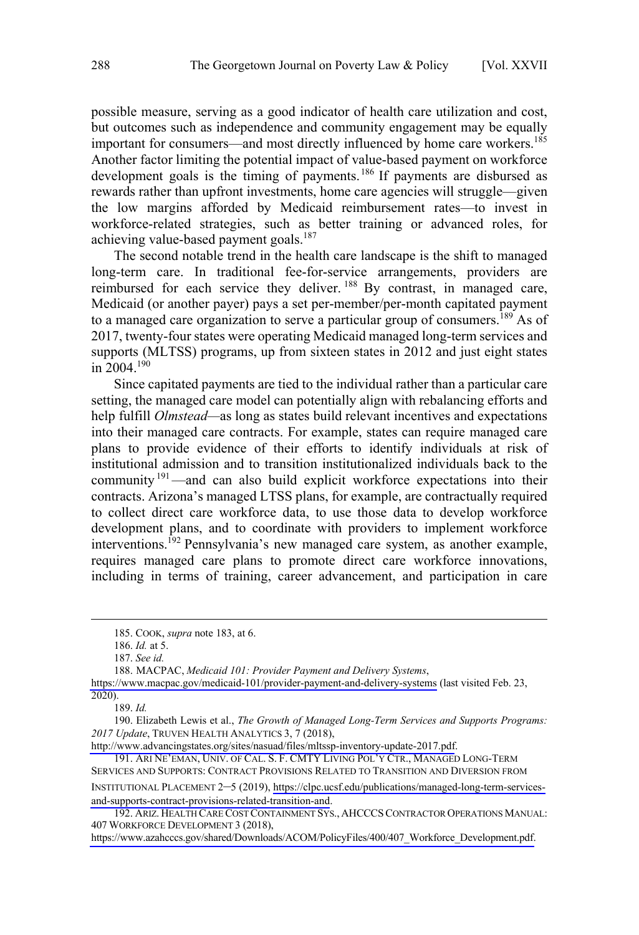possible measure, serving as a good indicator of health care utilization and cost, but outcomes such as independence and community engagement may be equally important for consumers—and most directly influenced by home care workers.<sup>185</sup> Another factor limiting the potential impact of value-based payment on workforce development goals is the timing of payments.<sup>186</sup> If payments are disbursed as rewards rather than upfront investments, home care agencies will struggle—given the low margins afforded by Medicaid reimbursement rates—to invest in workforce-related strategies, such as better training or advanced roles, for achieving value-based payment goals.<sup>187</sup>

The second notable trend in the health care landscape is the shift to managed long-term care. In traditional fee-for-service arrangements, providers are reimbursed for each service they deliver.<sup>188</sup> By contrast, in managed care, Medicaid (or another payer) pays a set per-member/per-month capitated payment to a managed care organization to serve a particular group of consumers.<sup>189</sup> As of 2017, twenty-four states were operating Medicaid managed long-term services and supports (MLTSS) programs, up from sixteen states in 2012 and just eight states in 2004.190

Since capitated payments are tied to the individual rather than a particular care setting, the managed care model can potentially align with rebalancing efforts and help fulfill *Olmstead—*as long as states build relevant incentives and expectations into their managed care contracts. For example, states can require managed care plans to provide evidence of their efforts to identify individuals at risk of institutional admission and to transition institutionalized individuals back to the community<sup>191</sup>—and can also build explicit workforce expectations into their contracts. Arizona's managed LTSS plans, for example, are contractually required to collect direct care workforce data, to use those data to develop workforce development plans, and to coordinate with providers to implement workforce interventions.<sup>192</sup> Pennsylvania's new managed care system, as another example, requires managed care plans to promote direct care workforce innovations, including in terms of training, career advancement, and participation in care

189. *Id.*

 <sup>185.</sup> COOK, *supra* note 183, at 6.

<sup>186.</sup> *Id.* at 5.

<sup>187.</sup> *See id.*

MACPAC, *Medicaid 101: Provider Payment and Delivery Systems*, 188.

<https://www.macpac.gov/medicaid-101/provider-payment-and-delivery-systems>(last visited Feb. 23, 2020).

Elizabeth Lewis et al., *The Growth of Managed Long-Term Services and Supports Programs:*  190. *2017 Update*, TRUVEN HEALTH ANALYTICS 3, 7 (2018),

<http://www.advancingstates.org/sites/nasuad/files/mltssp-inventory-update-2017.pdf>.

<sup>191.</sup> ARI NE'EMAN, UNIV. OF CAL. S. F. CMTY LIVING POL'Y CTR., MANAGED LONG-TERM SERVICES AND SUPPORTS: CONTRACT PROVISIONS RELATED TO TRANSITION AND DIVERSION FROM INSTITUTIONAL PLACEMENT 2–5 (2019), [https://clpc.ucsf.edu/publications/managed-long-term-services-](https://clpc.ucsf.edu/publications/managed-long-term-services-and-supports-contract-provisions-related-transition-and)

[and-supports-contract-provisions-related-transition-and](https://clpc.ucsf.edu/publications/managed-long-term-services-and-supports-contract-provisions-related-transition-and). 192. ARIZ. HEALTH CARE COST CONTAINMENT SYS., AHCCCS CONTRACTOR OPERATIONS MANUAL: 407 WORKFORCE DEVELOPMENT 3 (2018),

[https://www.azahcccs.gov/shared/Downloads/ACOM/PolicyFiles/400/407\\_Workforce\\_Development.pdf.](https://www.azahcccs.gov/shared/Downloads/ACOM/PolicyFiles/400/407_Workforce_Development.pdf)